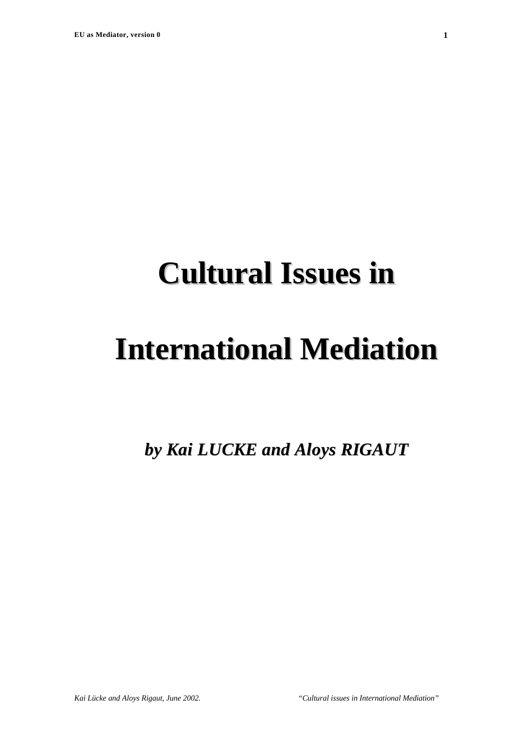# **Cultural Issues in**

## **International Mediation**

*by Kai LUCKE and Aloys RIGAUT*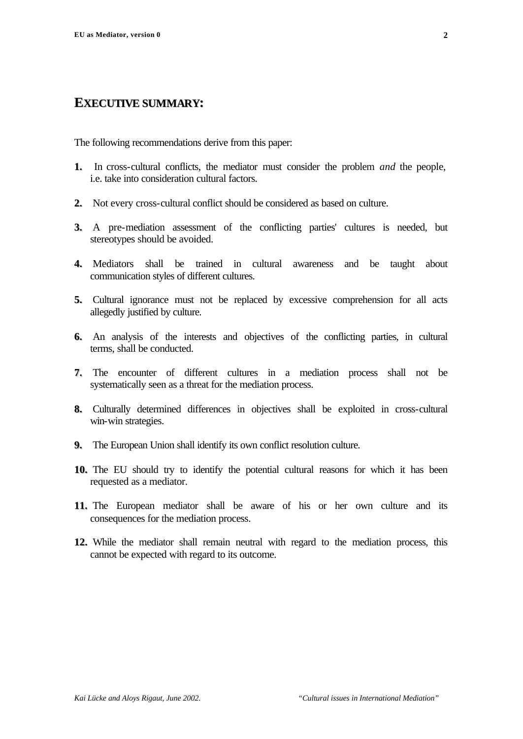## **EXECUTIVE SUMMARY:**

The following recommendations derive from this paper:

- **1.** In cross-cultural conflicts, the mediator must consider the problem *and* the people, i.e. take into consideration cultural factors.
- **2.** Not every cross-cultural conflict should be considered as based on culture.
- **3.** A pre-mediation assessment of the conflicting parties' cultures is needed, but stereotypes should be avoided.
- **4.** Mediators shall be trained in cultural awareness and be taught about communication styles of different cultures.
- **5.** Cultural ignorance must not be replaced by excessive comprehension for all acts allegedly justified by culture.
- **6.** An analysis of the interests and objectives of the conflicting parties, in cultural terms, shall be conducted.
- **7.** The encounter of different cultures in a mediation process shall not be systematically seen as a threat for the mediation process.
- **8.** Culturally determined differences in objectives shall be exploited in cross-cultural win-win strategies.
- **9.** The European Union shall identify its own conflict resolution culture.
- **10.** The EU should try to identify the potential cultural reasons for which it has been requested as a mediator.
- **11.** The European mediator shall be aware of his or her own culture and its consequences for the mediation process.
- **12.** While the mediator shall remain neutral with regard to the mediation process, this cannot be expected with regard to its outcome.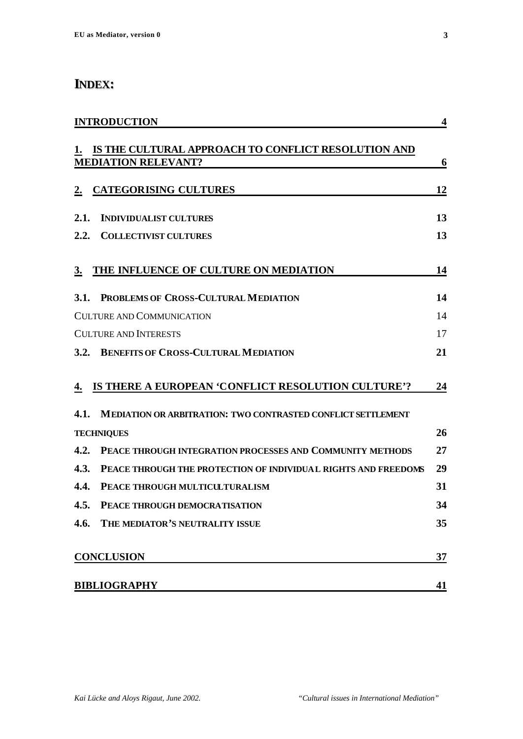## **INDEX:**

| <b>INTRODUCTION</b> |                                                                                   |           |
|---------------------|-----------------------------------------------------------------------------------|-----------|
| 1.                  | IS THE CULTURAL APPROACH TO CONFLICT RESOLUTION AND<br><b>MEDIATION RELEVANT?</b> | 6         |
|                     |                                                                                   |           |
| $2_{\cdot}$         | <b>CATEGORISING CULTURES</b>                                                      | <u>12</u> |
| 2.1.                | <b>INDIVIDUALIST CULTURES</b>                                                     | 13        |
|                     | 2.2. COLLECTIVIST CULTURES                                                        | 13        |
| 3.                  | THE INFLUENCE OF CULTURE ON MEDIATION                                             | 14        |
|                     | 3.1. PROBLEMS OF CROSS-CULTURAL MEDIATION                                         | 14        |
|                     | <b>CULTURE AND COMMUNICATION</b>                                                  | 14        |
|                     | <b>CULTURE AND INTERESTS</b>                                                      | 17        |
|                     | 3.2. BENEFITS OF CROSS-CULTURAL MEDIATION                                         | 21        |
| <u>4.</u>           | IS THERE A EUROPEAN 'CONFLICT RESOLUTION CULTURE'?                                | 24        |
|                     | 4.1. MEDIATION OR ARBITRATION: TWO CONTRASTED CONFLICT SETTLEMENT                 |           |
|                     | <b>TECHNIQUES</b>                                                                 | 26        |
| 4.2.                | PEACE THROUGH INTEGRATION PROCESSES AND COMMUNITY METHODS                         | 27        |
|                     | 4.3. PEACE THROUGH THE PROTECTION OF INDIVIDUAL RIGHTS AND FREEDOMS               | 29        |
|                     | 4.4. PEACE THROUGH MULTICULTURALISM                                               | 31        |
|                     | <b>4.5. PEACE THROUGH DEMOCRATISATION</b>                                         | 34        |
|                     | 4.6. THE MEDIATOR'S NEUTRALITY ISSUE                                              | 35        |
|                     | <b>CONCLUSION</b>                                                                 | 37        |
|                     | <b>BIBLIOGRAPHY EXECUTE AND INCOMENDATION</b>                                     | 41        |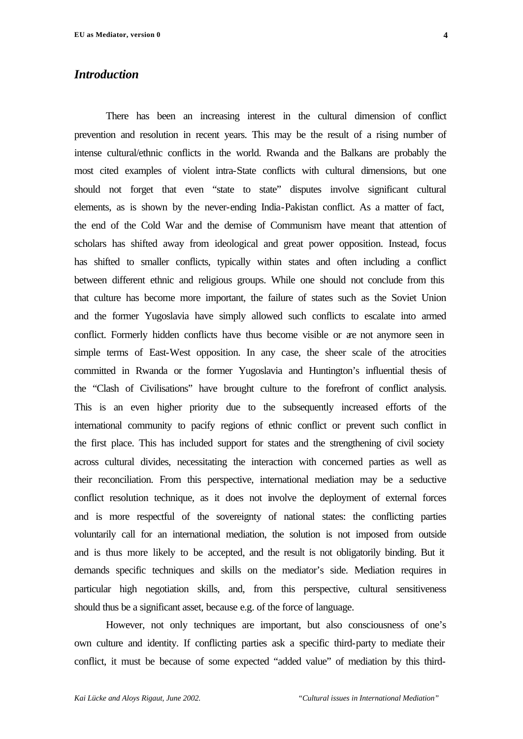## *Introduction*

There has been an increasing interest in the cultural dimension of conflict prevention and resolution in recent years. This may be the result of a rising number of intense cultural/ethnic conflicts in the world. Rwanda and the Balkans are probably the most cited examples of violent intra-State conflicts with cultural dimensions, but one should not forget that even "state to state" disputes involve significant cultural elements, as is shown by the never-ending India-Pakistan conflict. As a matter of fact, the end of the Cold War and the demise of Communism have meant that attention of scholars has shifted away from ideological and great power opposition. Instead, focus has shifted to smaller conflicts, typically within states and often including a conflict between different ethnic and religious groups. While one should not conclude from this that culture has become more important, the failure of states such as the Soviet Union and the former Yugoslavia have simply allowed such conflicts to escalate into armed conflict. Formerly hidden conflicts have thus become visible or are not anymore seen in simple terms of East-West opposition. In any case, the sheer scale of the atrocities committed in Rwanda or the former Yugoslavia and Huntington's influential thesis of the "Clash of Civilisations" have brought culture to the forefront of conflict analysis. This is an even higher priority due to the subsequently increased efforts of the international community to pacify regions of ethnic conflict or prevent such conflict in the first place. This has included support for states and the strengthening of civil society across cultural divides, necessitating the interaction with concerned parties as well as their reconciliation. From this perspective, international mediation may be a seductive conflict resolution technique, as it does not involve the deployment of external forces and is more respectful of the sovereignty of national states: the conflicting parties voluntarily call for an international mediation, the solution is not imposed from outside and is thus more likely to be accepted, and the result is not obligatorily binding. But it demands specific techniques and skills on the mediator's side. Mediation requires in particular high negotiation skills, and, from this perspective, cultural sensitiveness should thus be a significant asset, because e.g. of the force of language.

However, not only techniques are important, but also consciousness of one's own culture and identity. If conflicting parties ask a specific third-party to mediate their conflict, it must be because of some expected "added value" of mediation by this third-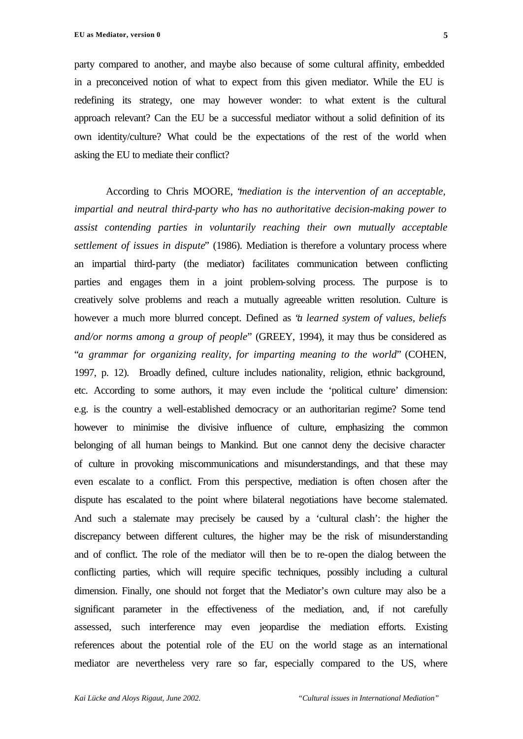**5**

party compared to another, and maybe also because of some cultural affinity, embedded in a preconceived notion of what to expect from this given mediator. While the EU is redefining its strategy, one may however wonder: to what extent is the cultural approach relevant? Can the EU be a successful mediator without a solid definition of its own identity/culture? What could be the expectations of the rest of the world when asking the EU to mediate their conflict?

According to Chris MOORE, "*mediation is the intervention of an acceptable, impartial and neutral third-party who has no authoritative decision-making power to assist contending parties in voluntarily reaching their own mutually acceptable settlement of issues in dispute*" (1986). Mediation is therefore a voluntary process where an impartial third-party (the mediator) facilitates communication between conflicting parties and engages them in a joint problem-solving process. The purpose is to creatively solve problems and reach a mutually agreeable written resolution. Culture is however a much more blurred concept. Defined as "*a learned system of values, beliefs and/or norms among a group of people*" (GREEY, 1994), it may thus be considered as "*a grammar for organizing reality, for imparting meaning to the world*" (COHEN, 1997, p. 12). Broadly defined, culture includes nationality, religion, ethnic background, etc. According to some authors, it may even include the 'political culture' dimension: e.g. is the country a well-established democracy or an authoritarian regime? Some tend however to minimise the divisive influence of culture, emphasizing the common belonging of all human beings to Mankind. But one cannot deny the decisive character of culture in provoking miscommunications and misunderstandings, and that these may even escalate to a conflict. From this perspective, mediation is often chosen after the dispute has escalated to the point where bilateral negotiations have become stalemated. And such a stalemate may precisely be caused by a 'cultural clash': the higher the discrepancy between different cultures, the higher may be the risk of misunderstanding and of conflict. The role of the mediator will then be to re-open the dialog between the conflicting parties, which will require specific techniques, possibly including a cultural dimension. Finally, one should not forget that the Mediator's own culture may also be a significant parameter in the effectiveness of the mediation, and, if not carefully assessed, such interference may even jeopardise the mediation efforts. Existing references about the potential role of the EU on the world stage as an international mediator are nevertheless very rare so far, especially compared to the US, where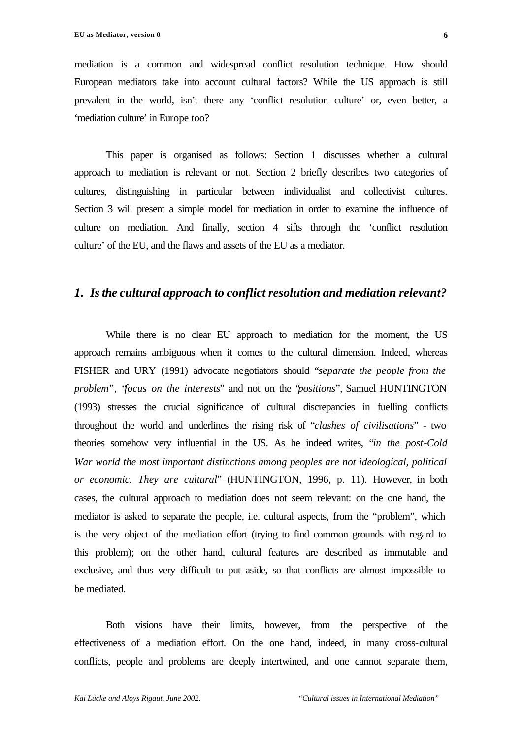mediation is a common and widespread conflict resolution technique. How should European mediators take into account cultural factors? While the US approach is still prevalent in the world, isn't there any 'conflict resolution culture' or, even better, a 'mediation culture' in Europe too?

This paper is organised as follows: Section 1 discusses whether a cultural approach to mediation is relevant or not. Section 2 briefly describes two categories of cultures, distinguishing in particular between individualist and collectivist cultures. Section 3 will present a simple model for mediation in order to examine the influence of culture on mediation. And finally, section 4 sifts through the 'conflict resolution culture' of the EU, and the flaws and assets of the EU as a mediator.

## *1. Is the cultural approach to conflict resolution and mediation relevant?*

While there is no clear EU approach to mediation for the moment, the US approach remains ambiguous when it comes to the cultural dimension. Indeed, whereas FISHER and URY (1991) advocate negotiators should "*separate the people from the problem*", "*focus on the interests*" and not on the "*positions*", Samuel HUNTINGTON (1993) stresses the crucial significance of cultural discrepancies in fuelling conflicts throughout the world and underlines the rising risk of "*clashes of civilisations*" - two theories somehow very influential in the US. As he indeed writes, "*in the post-Cold War world the most important distinctions among peoples are not ideological, political or economic. They are cultural*" (HUNTINGTON, 1996, p. 11). However, in both cases, the cultural approach to mediation does not seem relevant: on the one hand, the mediator is asked to separate the people, i.e. cultural aspects, from the "problem", which is the very object of the mediation effort (trying to find common grounds with regard to this problem); on the other hand, cultural features are described as immutable and exclusive, and thus very difficult to put aside, so that conflicts are almost impossible to be mediated.

Both visions have their limits, however, from the perspective of the effectiveness of a mediation effort. On the one hand, indeed, in many cross-cultural conflicts, people and problems are deeply intertwined, and one cannot separate them,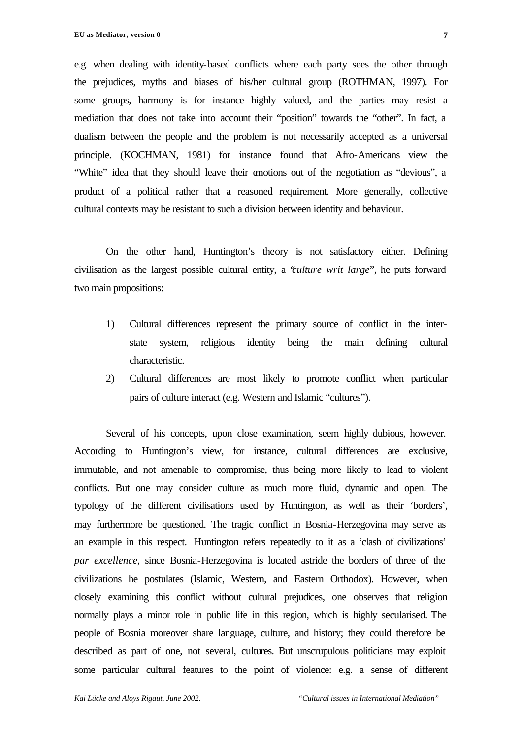**EU as Mediator, version 0**

e.g. when dealing with identity-based conflicts where each party sees the other through the prejudices, myths and biases of his/her cultural group (ROTHMAN, 1997). For some groups, harmony is for instance highly valued, and the parties may resist a mediation that does not take into account their "position" towards the "other". In fact, a dualism between the people and the problem is not necessarily accepted as a universal principle. (KOCHMAN, 1981) for instance found that Afro-Americans view the "White" idea that they should leave their emotions out of the negotiation as "devious", a product of a political rather that a reasoned requirement. More generally, collective cultural contexts may be resistant to such a division between identity and behaviour.

On the other hand, Huntington's theory is not satisfactory either. Defining civilisation as the largest possible cultural entity, a "*culture writ large*", he puts forward two main propositions:

- 1) Cultural differences represent the primary source of conflict in the interstate system, religious identity being the main defining cultural characteristic.
- 2) Cultural differences are most likely to promote conflict when particular pairs of culture interact (e.g. Western and Islamic "cultures").

Several of his concepts, upon close examination, seem highly dubious, however. According to Huntington's view, for instance, cultural differences are exclusive, immutable, and not amenable to compromise, thus being more likely to lead to violent conflicts. But one may consider culture as much more fluid, dynamic and open. The typology of the different civilisations used by Huntington, as well as their 'borders', may furthermore be questioned. The tragic conflict in Bosnia-Herzegovina may serve as an example in this respect. Huntington refers repeatedly to it as a 'clash of civilizations' *par excellence*, since Bosnia-Herzegovina is located astride the borders of three of the civilizations he postulates (Islamic, Western, and Eastern Orthodox). However, when closely examining this conflict without cultural prejudices, one observes that religion normally plays a minor role in public life in this region, which is highly secularised. The people of Bosnia moreover share language, culture, and history; they could therefore be described as part of one, not several, cultures. But unscrupulous politicians may exploit some particular cultural features to the point of violence: e.g. a sense of different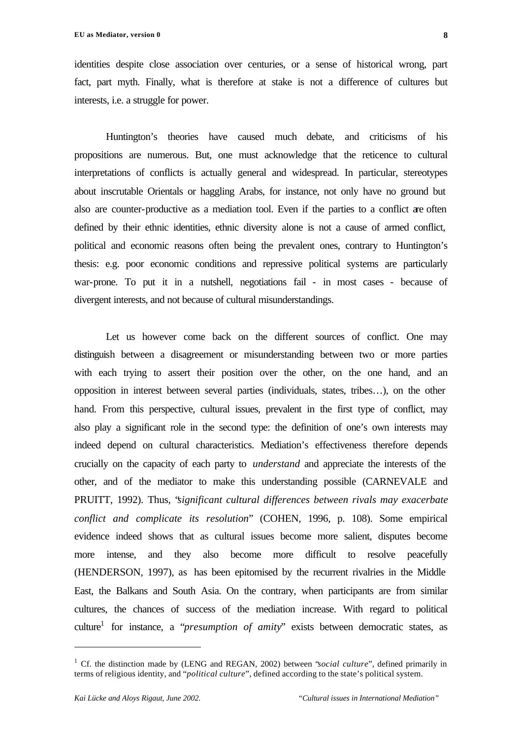identities despite close association over centuries, or a sense of historical wrong, part fact, part myth. Finally, what is therefore at stake is not a difference of cultures but interests, i.e. a struggle for power.

Huntington's theories have caused much debate, and criticisms of his propositions are numerous. But, one must acknowledge that the reticence to cultural interpretations of conflicts is actually general and widespread. In particular, stereotypes about inscrutable Orientals or haggling Arabs, for instance, not only have no ground but also are counter-productive as a mediation tool. Even if the parties to a conflict are often defined by their ethnic identities, ethnic diversity alone is not a cause of armed conflict, political and economic reasons often being the prevalent ones, contrary to Huntington's thesis: e.g. poor economic conditions and repressive political systems are particularly war-prone. To put it in a nutshell, negotiations fail - in most cases - because of divergent interests, and not because of cultural misunderstandings.

Let us however come back on the different sources of conflict. One may distinguish between a disagreement or misunderstanding between two or more parties with each trying to assert their position over the other, on the one hand, and an opposition in interest between several parties (individuals, states, tribes…), on the other hand. From this perspective, cultural issues, prevalent in the first type of conflict, may also play a significant role in the second type: the definition of one's own interests may indeed depend on cultural characteristics. Mediation's effectiveness therefore depends crucially on the capacity of each party to *understand* and appreciate the interests of the other, and of the mediator to make this understanding possible (CARNEVALE and PRUITT, 1992). Thus, "*significant cultural differences between rivals may exacerbate conflict and complicate its resolution*" (COHEN, 1996, p. 108). Some empirical evidence indeed shows that as cultural issues become more salient, disputes become more intense, and they also become more difficult to resolve peacefully (HENDERSON, 1997), as has been epitomised by the recurrent rivalries in the Middle East, the Balkans and South Asia. On the contrary, when participants are from similar cultures, the chances of success of the mediation increase. With regard to political culture<sup>1</sup> for instance, a "*presumption of amity*" exists between democratic states, as

<sup>&</sup>lt;sup>1</sup> Cf. the distinction made by (LENG and REGAN, 2002) between "*social culture*", defined primarily in terms of religious identity, and "*political culture*", defined according to the state's political system.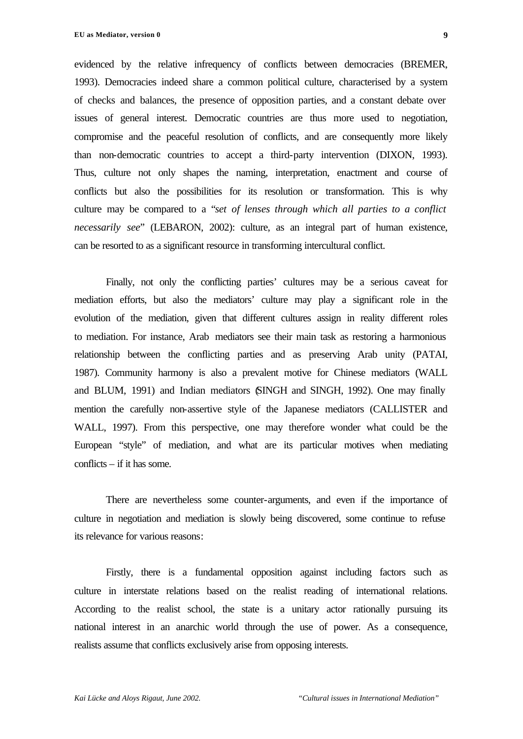**EU as Mediator, version 0**

evidenced by the relative infrequency of conflicts between democracies (BREMER, 1993). Democracies indeed share a common political culture, characterised by a system of checks and balances, the presence of opposition parties, and a constant debate over issues of general interest. Democratic countries are thus more used to negotiation, compromise and the peaceful resolution of conflicts, and are consequently more likely than non-democratic countries to accept a third-party intervention (DIXON, 1993). Thus, culture not only shapes the naming, interpretation, enactment and course of conflicts but also the possibilities for its resolution or transformation. This is why culture may be compared to a "*set of lenses through which all parties to a conflict necessarily see*" (LEBARON, 2002): culture, as an integral part of human existence, can be resorted to as a significant resource in transforming intercultural conflict.

Finally, not only the conflicting parties' cultures may be a serious caveat for mediation efforts, but also the mediators' culture may play a significant role in the evolution of the mediation, given that different cultures assign in reality different roles to mediation. For instance, Arab mediators see their main task as restoring a harmonious relationship between the conflicting parties and as preserving Arab unity (PATAI, 1987). Community harmony is also a prevalent motive for Chinese mediators (WALL and BLUM, 1991) and Indian mediators (SINGH and SINGH, 1992). One may finally mention the carefully non-assertive style of the Japanese mediators (CALLISTER and WALL, 1997). From this perspective, one may therefore wonder what could be the European "style" of mediation, and what are its particular motives when mediating conflicts – if it has some.

There are nevertheless some counter-arguments, and even if the importance of culture in negotiation and mediation is slowly being discovered, some continue to refuse its relevance for various reasons:

Firstly, there is a fundamental opposition against including factors such as culture in interstate relations based on the realist reading of international relations. According to the realist school, the state is a unitary actor rationally pursuing its national interest in an anarchic world through the use of power. As a consequence, realists assume that conflicts exclusively arise from opposing interests.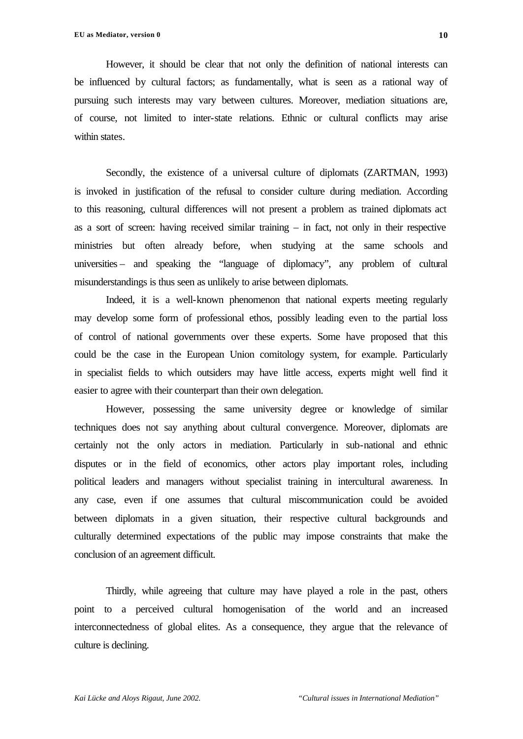However, it should be clear that not only the definition of national interests can be influenced by cultural factors; as fundamentally, what is seen as a rational way of pursuing such interests may vary between cultures. Moreover, mediation situations are, of course, not limited to inter-state relations. Ethnic or cultural conflicts may arise within states.

Secondly, the existence of a universal culture of diplomats (ZARTMAN, 1993) is invoked in justification of the refusal to consider culture during mediation. According to this reasoning, cultural differences will not present a problem as trained diplomats act as a sort of screen: having received similar training – in fact, not only in their respective ministries but often already before, when studying at the same schools and universities – and speaking the "language of diplomacy", any problem of cultural misunderstandings is thus seen as unlikely to arise between diplomats.

Indeed, it is a well-known phenomenon that national experts meeting regularly may develop some form of professional ethos, possibly leading even to the partial loss of control of national governments over these experts. Some have proposed that this could be the case in the European Union comitology system, for example. Particularly in specialist fields to which outsiders may have little access, experts might well find it easier to agree with their counterpart than their own delegation.

However, possessing the same university degree or knowledge of similar techniques does not say anything about cultural convergence. Moreover, diplomats are certainly not the only actors in mediation. Particularly in sub-national and ethnic disputes or in the field of economics, other actors play important roles, including political leaders and managers without specialist training in intercultural awareness. In any case, even if one assumes that cultural miscommunication could be avoided between diplomats in a given situation, their respective cultural backgrounds and culturally determined expectations of the public may impose constraints that make the conclusion of an agreement difficult.

Thirdly, while agreeing that culture may have played a role in the past, others point to a perceived cultural homogenisation of the world and an increased interconnectedness of global elites. As a consequence, they argue that the relevance of culture is declining.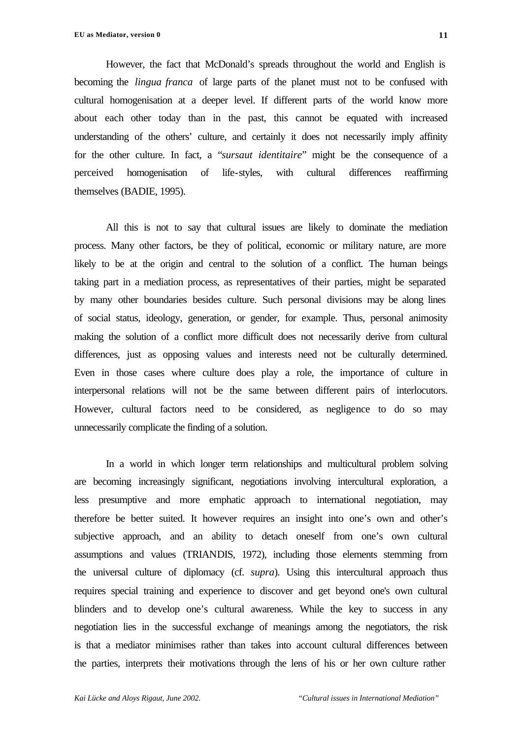However, the fact that McDonald's spreads throughout the world and English is becoming the *lingua franca* of large parts of the planet must not to be confused with cultural homogenisation at a deeper level. If different parts of the world know more about each other today than in the past, this cannot be equated with increased understanding of the others' culture, and certainly it does not necessarily imply affinity for the other culture. In fact, a "*sursaut identitaire*" might be the consequence of a perceived homogenisation of life-styles, with cultural differences reaffirming themselves (BADIE, 1995).

All this is not to say that cultural issues are likely to dominate the mediation process. Many other factors, be they of political, economic or military nature, are more likely to be at the origin and central to the solution of a conflict. The human beings taking part in a mediation process, as representatives of their parties, might be separated by many other boundaries besides culture. Such personal divisions may be along lines of social status, ideology, generation, or gender, for example. Thus, personal animosity making the solution of a conflict more difficult does not necessarily derive from cultural differences, just as opposing values and interests need not be culturally determined. Even in those cases where culture does play a role, the importance of culture in interpersonal relations will not be the same between different pairs of interlocutors. However, cultural factors need to be considered, as negligence to do so may unnecessarily complicate the finding of a solution.

In a world in which longer term relationships and multicultural problem solving are becoming increasingly significant, negotiations involving intercultural exploration, a less presumptive and more emphatic approach to international negotiation, may therefore be better suited. It however requires an insight into one's own and other's subjective approach, and an ability to detach oneself from one's own cultural assumptions and values (TRIANDIS, 1972), including those elements stemming from the universal culture of diplomacy (cf. *supra*). Using this intercultural approach thus requires special training and experience to discover and get beyond one's own cultural blinders and to develop one's cultural awareness. While the key to success in any negotiation lies in the successful exchange of meanings among the negotiators, the risk is that a mediator minimises rather than takes into account cultural differences between the parties, interprets their motivations through the lens of his or her own culture rather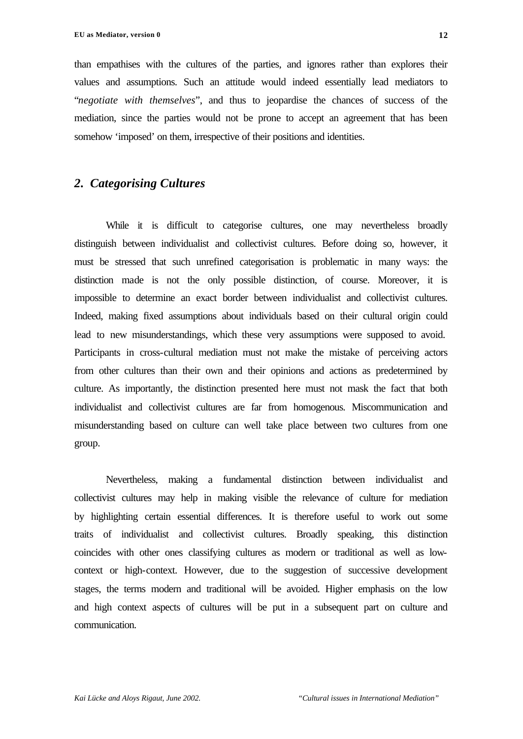than empathises with the cultures of the parties, and ignores rather than explores their values and assumptions. Such an attitude would indeed essentially lead mediators to "*negotiate with themselves*", and thus to jeopardise the chances of success of the mediation, since the parties would not be prone to accept an agreement that has been somehow 'imposed' on them, irrespective of their positions and identities.

## *2. Categorising Cultures*

While it is difficult to categorise cultures, one may nevertheless broadly distinguish between individualist and collectivist cultures. Before doing so, however, it must be stressed that such unrefined categorisation is problematic in many ways: the distinction made is not the only possible distinction, of course. Moreover, it is impossible to determine an exact border between individualist and collectivist cultures. Indeed, making fixed assumptions about individuals based on their cultural origin could lead to new misunderstandings, which these very assumptions were supposed to avoid. Participants in cross-cultural mediation must not make the mistake of perceiving actors from other cultures than their own and their opinions and actions as predetermined by culture. As importantly, the distinction presented here must not mask the fact that both individualist and collectivist cultures are far from homogenous. Miscommunication and misunderstanding based on culture can well take place between two cultures from one group.

Nevertheless, making a fundamental distinction between individualist and collectivist cultures may help in making visible the relevance of culture for mediation by highlighting certain essential differences. It is therefore useful to work out some traits of individualist and collectivist cultures. Broadly speaking, this distinction coincides with other ones classifying cultures as modern or traditional as well as lowcontext or high-context. However, due to the suggestion of successive development stages, the terms modern and traditional will be avoided. Higher emphasis on the low and high context aspects of cultures will be put in a subsequent part on culture and communication.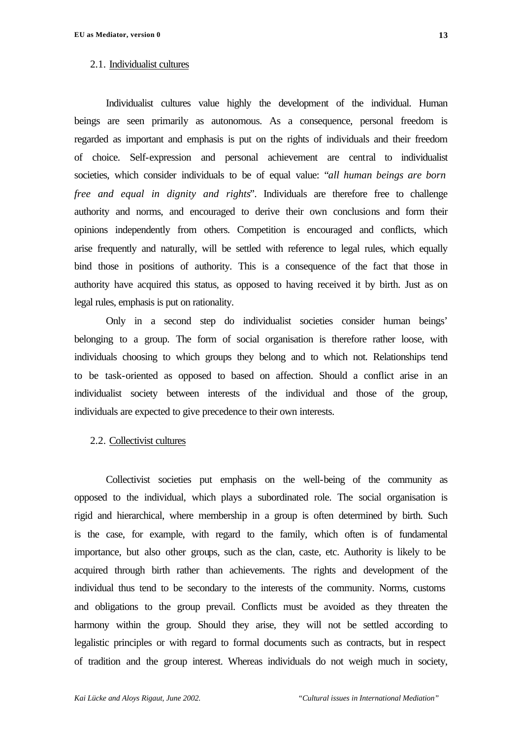#### 2.1. Individualist cultures

Individualist cultures value highly the development of the individual. Human beings are seen primarily as autonomous. As a consequence, personal freedom is regarded as important and emphasis is put on the rights of individuals and their freedom of choice. Self-expression and personal achievement are central to individualist societies, which consider individuals to be of equal value: "*all human beings are born free and equal in dignity and rights*". Individuals are therefore free to challenge authority and norms, and encouraged to derive their own conclusions and form their opinions independently from others. Competition is encouraged and conflicts, which arise frequently and naturally, will be settled with reference to legal rules, which equally bind those in positions of authority. This is a consequence of the fact that those in authority have acquired this status, as opposed to having received it by birth. Just as on legal rules, emphasis is put on rationality.

Only in a second step do individualist societies consider human beings' belonging to a group. The form of social organisation is therefore rather loose, with individuals choosing to which groups they belong and to which not. Relationships tend to be task-oriented as opposed to based on affection. Should a conflict arise in an individualist society between interests of the individual and those of the group, individuals are expected to give precedence to their own interests.

#### 2.2. Collectivist cultures

Collectivist societies put emphasis on the well-being of the community as opposed to the individual, which plays a subordinated role. The social organisation is rigid and hierarchical, where membership in a group is often determined by birth. Such is the case, for example, with regard to the family, which often is of fundamental importance, but also other groups, such as the clan, caste, etc. Authority is likely to be acquired through birth rather than achievements. The rights and development of the individual thus tend to be secondary to the interests of the community. Norms, customs and obligations to the group prevail. Conflicts must be avoided as they threaten the harmony within the group. Should they arise, they will not be settled according to legalistic principles or with regard to formal documents such as contracts, but in respect of tradition and the group interest. Whereas individuals do not weigh much in society,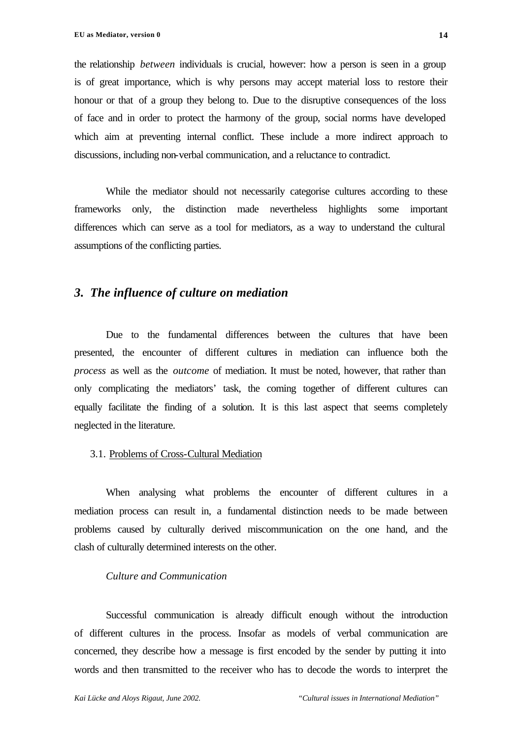the relationship *between* individuals is crucial, however: how a person is seen in a group is of great importance, which is why persons may accept material loss to restore their honour or that of a group they belong to. Due to the disruptive consequences of the loss of face and in order to protect the harmony of the group, social norms have developed which aim at preventing internal conflict. These include a more indirect approach to discussions, including non-verbal communication, and a reluctance to contradict.

While the mediator should not necessarily categorise cultures according to these frameworks only, the distinction made nevertheless highlights some important differences which can serve as a tool for mediators, as a way to understand the cultural assumptions of the conflicting parties.

## *3. The influence of culture on mediation*

Due to the fundamental differences between the cultures that have been presented, the encounter of different cultures in mediation can influence both the *process* as well as the *outcome* of mediation. It must be noted, however, that rather than only complicating the mediators' task, the coming together of different cultures can equally facilitate the finding of a solution. It is this last aspect that seems completely neglected in the literature.

#### 3.1. Problems of Cross-Cultural Mediation

When analysing what problems the encounter of different cultures in a mediation process can result in, a fundamental distinction needs to be made between problems caused by culturally derived miscommunication on the one hand, and the clash of culturally determined interests on the other.

#### *Culture and Communication*

Successful communication is already difficult enough without the introduction of different cultures in the process. Insofar as models of verbal communication are concerned, they describe how a message is first encoded by the sender by putting it into words and then transmitted to the receiver who has to decode the words to interpret the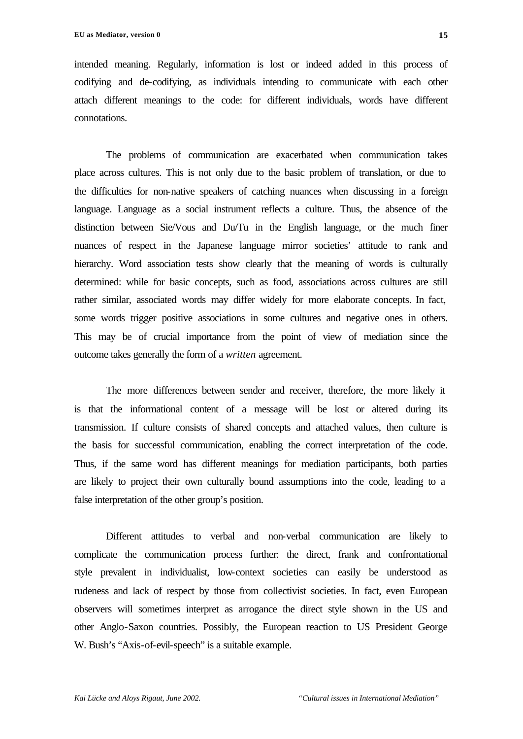intended meaning. Regularly, information is lost or indeed added in this process of codifying and de-codifying, as individuals intending to communicate with each other attach different meanings to the code: for different individuals, words have different connotations.

The problems of communication are exacerbated when communication takes place across cultures. This is not only due to the basic problem of translation, or due to the difficulties for non-native speakers of catching nuances when discussing in a foreign language. Language as a social instrument reflects a culture. Thus, the absence of the distinction between Sie/Vous and Du/Tu in the English language, or the much finer nuances of respect in the Japanese language mirror societies' attitude to rank and hierarchy. Word association tests show clearly that the meaning of words is culturally determined: while for basic concepts, such as food, associations across cultures are still rather similar, associated words may differ widely for more elaborate concepts. In fact, some words trigger positive associations in some cultures and negative ones in others. This may be of crucial importance from the point of view of mediation since the outcome takes generally the form of a *written* agreement.

The more differences between sender and receiver, therefore, the more likely it is that the informational content of a message will be lost or altered during its transmission. If culture consists of shared concepts and attached values, then culture is the basis for successful communication, enabling the correct interpretation of the code. Thus, if the same word has different meanings for mediation participants, both parties are likely to project their own culturally bound assumptions into the code, leading to a false interpretation of the other group's position.

Different attitudes to verbal and non-verbal communication are likely to complicate the communication process further: the direct, frank and confrontational style prevalent in individualist, low-context societies can easily be understood as rudeness and lack of respect by those from collectivist societies. In fact, even European observers will sometimes interpret as arrogance the direct style shown in the US and other Anglo-Saxon countries. Possibly, the European reaction to US President George W. Bush's "Axis-of-evil-speech" is a suitable example.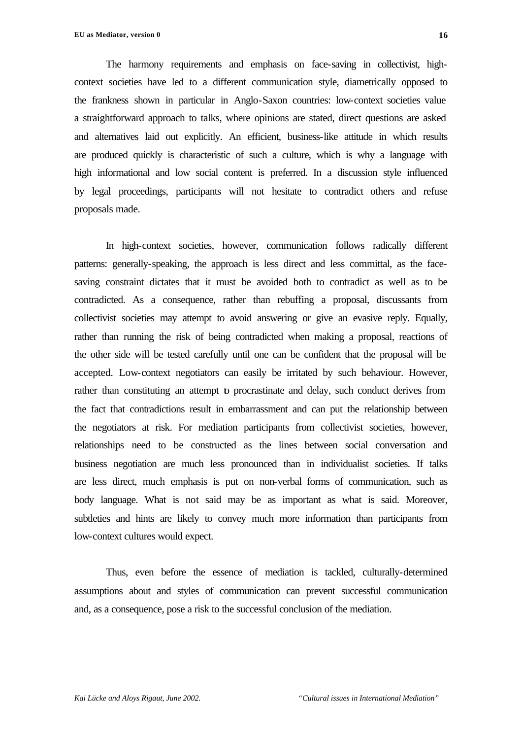**EU as Mediator, version 0**

The harmony requirements and emphasis on face-saving in collectivist, highcontext societies have led to a different communication style, diametrically opposed to the frankness shown in particular in Anglo-Saxon countries: low-context societies value a straightforward approach to talks, where opinions are stated, direct questions are asked and alternatives laid out explicitly. An efficient, business-like attitude in which results are produced quickly is characteristic of such a culture, which is why a language with high informational and low social content is preferred. In a discussion style influenced by legal proceedings, participants will not hesitate to contradict others and refuse proposals made.

In high-context societies, however, communication follows radically different patterns: generally-speaking, the approach is less direct and less committal, as the facesaving constraint dictates that it must be avoided both to contradict as well as to be contradicted. As a consequence, rather than rebuffing a proposal, discussants from collectivist societies may attempt to avoid answering or give an evasive reply. Equally, rather than running the risk of being contradicted when making a proposal, reactions of the other side will be tested carefully until one can be confident that the proposal will be accepted. Low-context negotiators can easily be irritated by such behaviour. However, rather than constituting an attempt to procrastinate and delay, such conduct derives from the fact that contradictions result in embarrassment and can put the relationship between the negotiators at risk. For mediation participants from collectivist societies, however, relationships need to be constructed as the lines between social conversation and business negotiation are much less pronounced than in individualist societies. If talks are less direct, much emphasis is put on non-verbal forms of communication, such as body language. What is not said may be as important as what is said. Moreover, subtleties and hints are likely to convey much more information than participants from low-context cultures would expect.

Thus, even before the essence of mediation is tackled, culturally-determined assumptions about and styles of communication can prevent successful communication and, as a consequence, pose a risk to the successful conclusion of the mediation.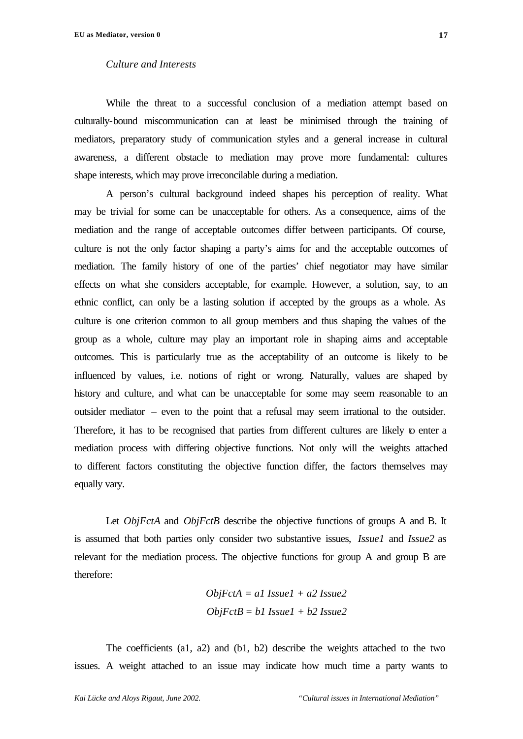#### *Culture and Interests*

While the threat to a successful conclusion of a mediation attempt based on culturally-bound miscommunication can at least be minimised through the training of mediators, preparatory study of communication styles and a general increase in cultural awareness, a different obstacle to mediation may prove more fundamental: cultures shape interests, which may prove irreconcilable during a mediation.

A person's cultural background indeed shapes his perception of reality. What may be trivial for some can be unacceptable for others. As a consequence, aims of the mediation and the range of acceptable outcomes differ between participants. Of course, culture is not the only factor shaping a party's aims for and the acceptable outcomes of mediation. The family history of one of the parties' chief negotiator may have similar effects on what she considers acceptable, for example. However, a solution, say, to an ethnic conflict, can only be a lasting solution if accepted by the groups as a whole. As culture is one criterion common to all group members and thus shaping the values of the group as a whole, culture may play an important role in shaping aims and acceptable outcomes. This is particularly true as the acceptability of an outcome is likely to be influenced by values, i.e. notions of right or wrong. Naturally, values are shaped by history and culture, and what can be unacceptable for some may seem reasonable to an outsider mediator – even to the point that a refusal may seem irrational to the outsider. Therefore, it has to be recognised that parties from different cultures are likely to enter a mediation process with differing objective functions. Not only will the weights attached to different factors constituting the objective function differ, the factors themselves may equally vary.

Let *ObjFctA* and *ObjFctB* describe the objective functions of groups A and B. It is assumed that both parties only consider two substantive issues, *Issue1* and *Issue2* as relevant for the mediation process. The objective functions for group A and group B are therefore:

$$
ObjFctA = a1 Issuel + a2 Issue2
$$
  

$$
ObjFctB = b1 Issue1 + b2 Issue2
$$

The coefficients (a1, a2) and (b1, b2) describe the weights attached to the two issues. A weight attached to an issue may indicate how much time a party wants to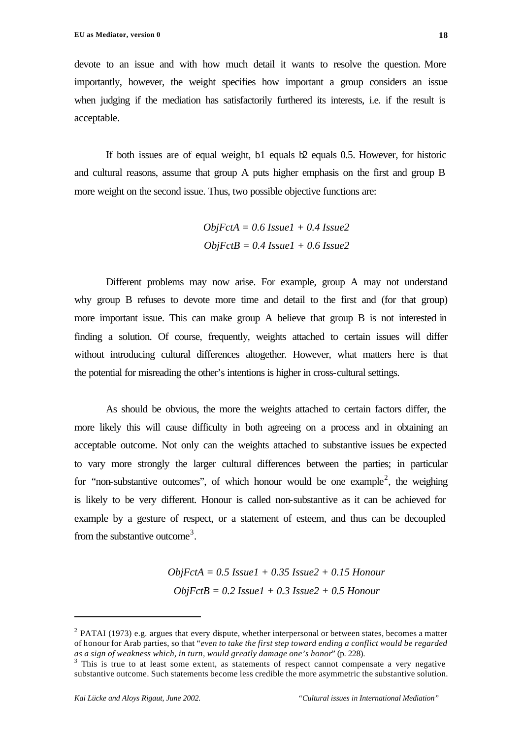devote to an issue and with how much detail it wants to resolve the question. More importantly, however, the weight specifies how important a group considers an issue when judging if the mediation has satisfactorily furthered its interests, i.e. if the result is acceptable.

If both issues are of equal weight, b1 equals  $b2$  equals 0.5. However, for historic and cultural reasons, assume that group A puts higher emphasis on the first and group B more weight on the second issue. Thus, two possible objective functions are:

> *ObjFctA = 0.6 Issue1 + 0.4 Issue2 ObjFctB = 0.4 Issue1 + 0.6 Issue2*

Different problems may now arise. For example, group A may not understand why group B refuses to devote more time and detail to the first and (for that group) more important issue. This can make group A believe that group B is not interested in finding a solution. Of course, frequently, weights attached to certain issues will differ without introducing cultural differences altogether. However, what matters here is that the potential for misreading the other's intentions is higher in cross-cultural settings.

As should be obvious, the more the weights attached to certain factors differ, the more likely this will cause difficulty in both agreeing on a process and in obtaining an acceptable outcome. Not only can the weights attached to substantive issues be expected to vary more strongly the larger cultural differences between the parties; in particular for "non-substantive outcomes", of which honour would be one example<sup>2</sup>, the weighing is likely to be very different. Honour is called non-substantive as it can be achieved for example by a gesture of respect, or a statement of esteem, and thus can be decoupled from the substantive outcome<sup>3</sup>.

> *ObjFctA = 0.5 Issue1 + 0.35 Issue2 + 0.15 Honour ObjFctB = 0.2 Issue1 + 0.3 Issue2 + 0.5 Honour*

<sup>&</sup>lt;sup>2</sup> PATAI (1973) e.g. argues that every dispute, whether interpersonal or between states, becomes a matter of honour for Arab parties, so that "*even to take the first step toward ending a conflict would be regarded as a sign of weakness which, in turn, would greatly damage one's honor*" (p. 228).

<sup>&</sup>lt;sup>3</sup> This is true to at least some extent, as statements of respect cannot compensate a very negative substantive outcome. Such statements become less credible the more asymmetric the substantive solution.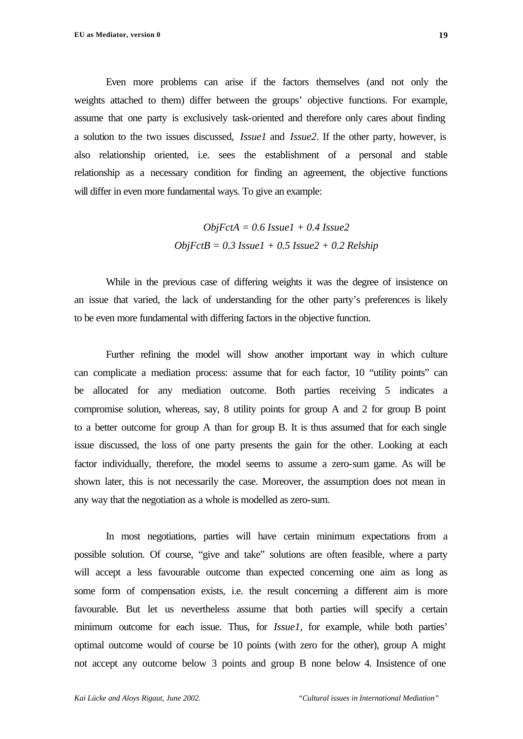Even more problems can arise if the factors themselves (and not only the weights attached to them) differ between the groups' objective functions. For example, assume that one party is exclusively task-oriented and therefore only cares about finding a solution to the two issues discussed, *Issue1* and *Issue2*. If the other party, however, is also relationship oriented, i.e. sees the establishment of a personal and stable relationship as a necessary condition for finding an agreement, the objective functions will differ in even more fundamental ways. To give an example:

> *ObjFctA = 0.6 Issue1 + 0.4 Issue2 ObjFctB = 0.3 Issue1 + 0.5 Issue2 + 0.2 Relship*

While in the previous case of differing weights it was the degree of insistence on an issue that varied, the lack of understanding for the other party's preferences is likely to be even more fundamental with differing factors in the objective function.

Further refining the model will show another important way in which culture can complicate a mediation process: assume that for each factor, 10 "utility points" can be allocated for any mediation outcome. Both parties receiving 5 indicates a compromise solution, whereas, say, 8 utility points for group A and 2 for group B point to a better outcome for group A than for group B. It is thus assumed that for each single issue discussed, the loss of one party presents the gain for the other. Looking at each factor individually, therefore, the model seems to assume a zero-sum game. As will be shown later, this is not necessarily the case. Moreover, the assumption does not mean in any way that the negotiation as a whole is modelled as zero-sum.

In most negotiations, parties will have certain minimum expectations from a possible solution. Of course, "give and take" solutions are often feasible, where a party will accept a less favourable outcome than expected concerning one aim as long as some form of compensation exists, i.e. the result concerning a different aim is more favourable. But let us nevertheless assume that both parties will specify a certain minimum outcome for each issue. Thus, for *Issue1*, for example, while both parties' optimal outcome would of course be 10 points (with zero for the other), group A might not accept any outcome below 3 points and group B none below 4. Insistence of one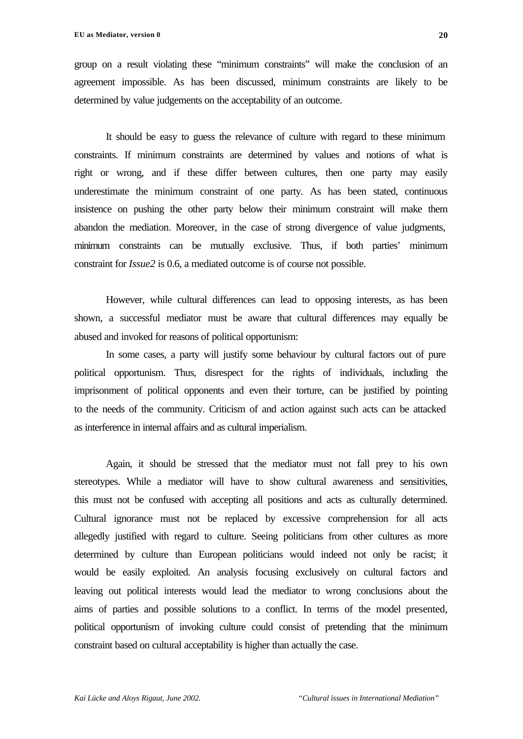group on a result violating these "minimum constraints" will make the conclusion of an agreement impossible. As has been discussed, minimum constraints are likely to be determined by value judgements on the acceptability of an outcome.

It should be easy to guess the relevance of culture with regard to these minimum constraints. If minimum constraints are determined by values and notions of what is right or wrong, and if these differ between cultures, then one party may easily underestimate the minimum constraint of one party. As has been stated, continuous insistence on pushing the other party below their minimum constraint will make them abandon the mediation. Moreover, in the case of strong divergence of value judgments, minimum constraints can be mutually exclusive. Thus, if both parties' minimum constraint for *Issue2* is 0.6, a mediated outcome is of course not possible.

However, while cultural differences can lead to opposing interests, as has been shown, a successful mediator must be aware that cultural differences may equally be abused and invoked for reasons of political opportunism:

In some cases, a party will justify some behaviour by cultural factors out of pure political opportunism. Thus, disrespect for the rights of individuals, including the imprisonment of political opponents and even their torture, can be justified by pointing to the needs of the community. Criticism of and action against such acts can be attacked as interference in internal affairs and as cultural imperialism.

Again, it should be stressed that the mediator must not fall prey to his own stereotypes. While a mediator will have to show cultural awareness and sensitivities, this must not be confused with accepting all positions and acts as culturally determined. Cultural ignorance must not be replaced by excessive comprehension for all acts allegedly justified with regard to culture. Seeing politicians from other cultures as more determined by culture than European politicians would indeed not only be racist; it would be easily exploited. An analysis focusing exclusively on cultural factors and leaving out political interests would lead the mediator to wrong conclusions about the aims of parties and possible solutions to a conflict. In terms of the model presented, political opportunism of invoking culture could consist of pretending that the minimum constraint based on cultural acceptability is higher than actually the case.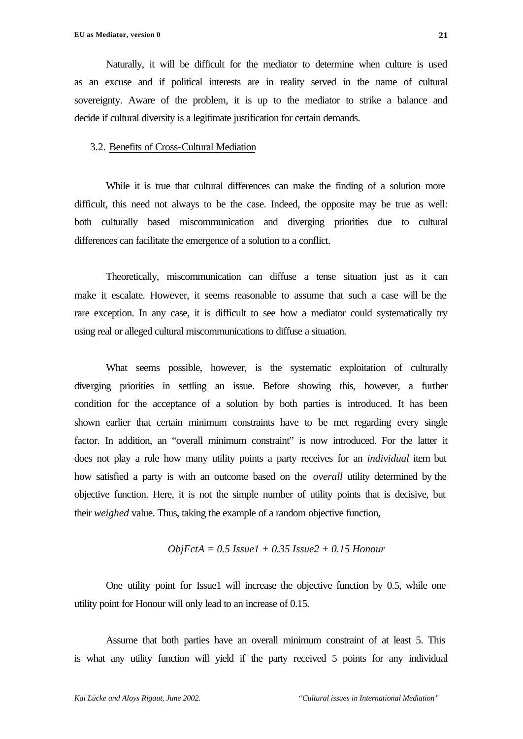Naturally, it will be difficult for the mediator to determine when culture is used as an excuse and if political interests are in reality served in the name of cultural sovereignty. Aware of the problem, it is up to the mediator to strike a balance and decide if cultural diversity is a legitimate justification for certain demands.

## 3.2. Benefits of Cross-Cultural Mediation

While it is true that cultural differences can make the finding of a solution more difficult, this need not always to be the case. Indeed, the opposite may be true as well: both culturally based miscommunication and diverging priorities due to cultural differences can facilitate the emergence of a solution to a conflict.

Theoretically, miscommunication can diffuse a tense situation just as it can make it escalate. However, it seems reasonable to assume that such a case will be the rare exception. In any case, it is difficult to see how a mediator could systematically try using real or alleged cultural miscommunications to diffuse a situation.

What seems possible, however, is the systematic exploitation of culturally diverging priorities in settling an issue. Before showing this, however, a further condition for the acceptance of a solution by both parties is introduced. It has been shown earlier that certain minimum constraints have to be met regarding every single factor. In addition, an "overall minimum constraint" is now introduced. For the latter it does not play a role how many utility points a party receives for an *individual* item but how satisfied a party is with an outcome based on the *overall* utility determined by the objective function. Here, it is not the simple number of utility points that is decisive, but their *weighed* value. Thus, taking the example of a random objective function,

$$
ObjectA = 0.5
$$
 *Issuel* + 0.35 *Issue2* + 0.15 *Homour*

One utility point for Issue1 will increase the objective function by 0.5, while one utility point for Honour will only lead to an increase of 0.15.

Assume that both parties have an overall minimum constraint of at least 5. This is what any utility function will yield if the party received 5 points for any individual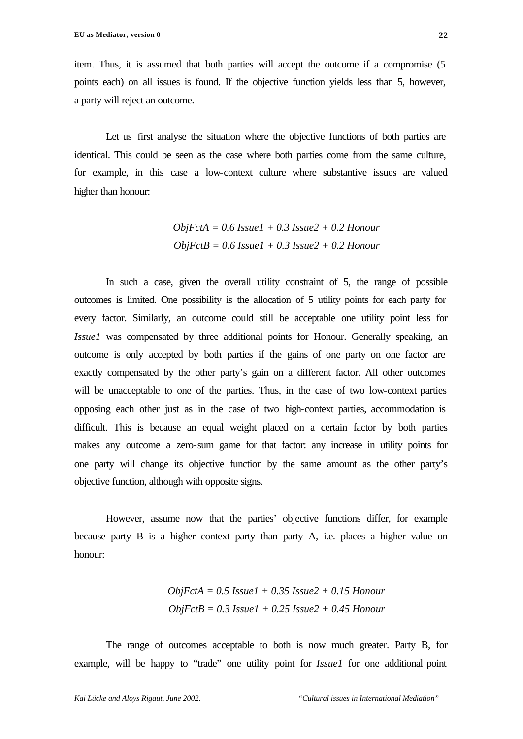item. Thus, it is assumed that both parties will accept the outcome if a compromise (5 points each) on all issues is found. If the objective function yields less than 5, however, a party will reject an outcome.

Let us first analyse the situation where the objective functions of both parties are identical. This could be seen as the case where both parties come from the same culture, for example, in this case a low-context culture where substantive issues are valued higher than honour:

$$
ObjFctA = 0.6
$$
 *Issuel* + 0.3 *Issue2* + 0.2 *Homour*  

$$
ObjFctB = 0.6
$$
 *Issuel* + 0.3 *Issue2* + 0.2 *Homour*

In such a case, given the overall utility constraint of 5, the range of possible outcomes is limited. One possibility is the allocation of 5 utility points for each party for every factor. Similarly, an outcome could still be acceptable one utility point less for *Issue1* was compensated by three additional points for Honour. Generally speaking, an outcome is only accepted by both parties if the gains of one party on one factor are exactly compensated by the other party's gain on a different factor. All other outcomes will be unacceptable to one of the parties. Thus, in the case of two low-context parties opposing each other just as in the case of two high-context parties, accommodation is difficult. This is because an equal weight placed on a certain factor by both parties makes any outcome a zero-sum game for that factor: any increase in utility points for one party will change its objective function by the same amount as the other party's objective function, although with opposite signs.

However, assume now that the parties' objective functions differ, for example because party B is a higher context party than party A, i.e. places a higher value on honour:

$$
ObjFctA = 0.5
$$
 *Issuel* + 0.35 *Issue2* + 0.15 *Honour*  

$$
ObjFctB = 0.3
$$
 *Issuel* + 0.25 *Issue2* + 0.45 *Honour*

The range of outcomes acceptable to both is now much greater. Party B, for example, will be happy to "trade" one utility point for *Issue1* for one additional point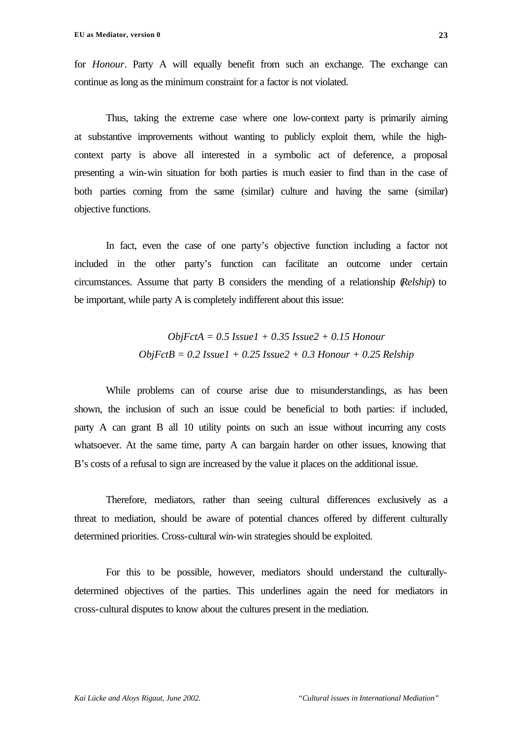for *Honour*. Party A will equally benefit from such an exchange. The exchange can continue as long as the minimum constraint for a factor is not violated.

Thus, taking the extreme case where one low-context party is primarily aiming at substantive improvements without wanting to publicly exploit them, while the highcontext party is above all interested in a symbolic act of deference, a proposal presenting a win-win situation for both parties is much easier to find than in the case of both parties coming from the same (similar) culture and having the same (similar) objective functions.

In fact, even the case of one party's objective function including a factor not included in the other party's function can facilitate an outcome under certain circumstances. Assume that party B considers the mending of a relationship (*Relship*) to be important, while party A is completely indifferent about this issue:

> *ObjFctA = 0.5 Issue1 + 0.35 Issue2 + 0.15 Honour ObjFctB = 0.2 Issue1 + 0.25 Issue2 + 0.3 Honour + 0.25 Relship*

While problems can of course arise due to misunderstandings, as has been shown, the inclusion of such an issue could be beneficial to both parties: if included, party A can grant B all 10 utility points on such an issue without incurring any costs whatsoever. At the same time, party A can bargain harder on other issues, knowing that B's costs of a refusal to sign are increased by the value it places on the additional issue.

Therefore, mediators, rather than seeing cultural differences exclusively as a threat to mediation, should be aware of potential chances offered by different culturally determined priorities. Cross-cultural win-win strategies should be exploited.

For this to be possible, however, mediators should understand the culturallydetermined objectives of the parties. This underlines again the need for mediators in cross-cultural disputes to know about the cultures present in the mediation.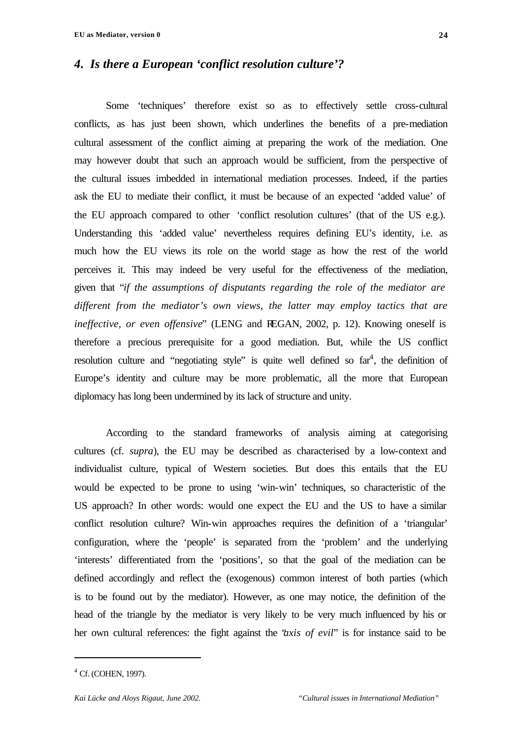Some 'techniques' therefore exist so as to effectively settle cross-cultural conflicts, as has just been shown, which underlines the benefits of a pre-mediation cultural assessment of the conflict aiming at preparing the work of the mediation. One may however doubt that such an approach would be sufficient, from the perspective of the cultural issues imbedded in international mediation processes. Indeed, if the parties ask the EU to mediate their conflict, it must be because of an expected 'added value' of the EU approach compared to other 'conflict resolution cultures' (that of the US e.g.). Understanding this 'added value' nevertheless requires defining EU's identity, i.e. as much how the EU views its role on the world stage as how the rest of the world perceives it. This may indeed be very useful for the effectiveness of the mediation, given that "*if the assumptions of disputants regarding the role of the mediator are different from the mediator's own views, the latter may employ tactics that are ineffective, or even offensive*" (LENG and REGAN, 2002, p. 12). Knowing oneself is therefore a precious prerequisite for a good mediation. But, while the US conflict resolution culture and "negotiating style" is quite well defined so  $far<sup>4</sup>$ , the definition of Europe's identity and culture may be more problematic, all the more that European diplomacy has long been undermined by its lack of structure and unity.

According to the standard frameworks of analysis aiming at categorising cultures (cf. *supra*), the EU may be described as characterised by a low-context and individualist culture, typical of Western societies. But does this entails that the EU would be expected to be prone to using 'win-win' techniques, so characteristic of the US approach? In other words: would one expect the EU and the US to have a similar conflict resolution culture? Win-win approaches requires the definition of a 'triangular' configuration, where the 'people' is separated from the 'problem' and the underlying 'interests' differentiated from the 'positions', so that the goal of the mediation can be defined accordingly and reflect the (exogenous) common interest of both parties (which is to be found out by the mediator). However, as one may notice, the definition of the head of the triangle by the mediator is very likely to be very much influenced by his or her own cultural references: the fight against the "*axis of evil*" is for instance said to be

<sup>4</sup> Cf. (COHEN, 1997).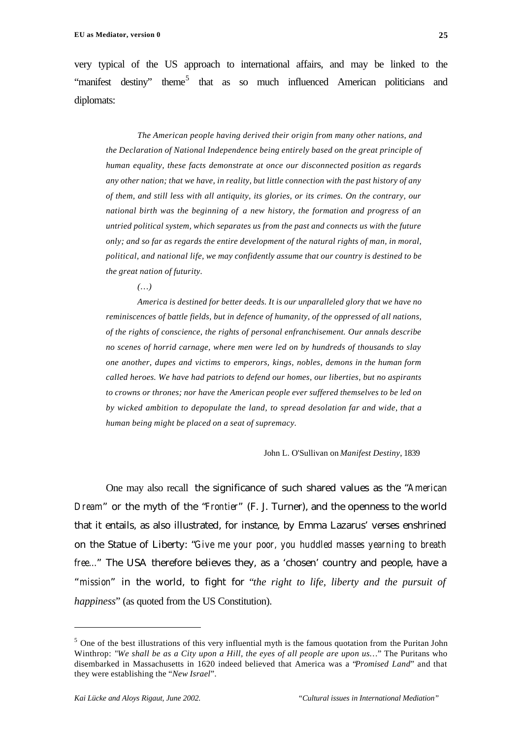very typical of the US approach to international affairs, and may be linked to the "manifest destiny" theme<sup>5</sup> that as so much influenced American politicians and diplomats:

*The American people having derived their origin from many other nations, and the Declaration of National Independence being entirely based on the great principle of human equality, these facts demonstrate at once our disconnected position as regards any other nation; that we have, in reality, but little connection with the past history of any of them, and still less with all antiquity, its glories, or its crimes. On the contrary, our national birth was the beginning of a new history, the formation and progress of an untried political system, which separates us from the past and connects us with the future only; and so far as regards the entire development of the natural rights of man, in moral, political, and national life, we may confidently assume that our country is destined to be the great nation of futurity.*

*(…)*

*America is destined for better deeds. It is our unparalleled glory that we have no reminiscences of battle fields, but in defence of humanity, of the oppressed of all nations, of the rights of conscience, the rights of personal enfranchisement. Our annals describe no scenes of horrid carnage, where men were led on by hundreds of thousands to slay one another, dupes and victims to emperors, kings, nobles, demons in the human form called heroes. We have had patriots to defend our homes, our liberties, but no aspirants to crowns or thrones; nor have the American people ever suffered themselves to be led on by wicked ambition to depopulate the land, to spread desolation far and wide, that a human being might be placed on a seat of supremacy.*

John L. O'Sullivan on *Manifest Destiny*, 1839

One may also recall the significance of such shared values as the "*American Dream*" or the myth of the "*Frontier*" (F. J. Turner), and the openness to the world that it entails, as also illustrated, for instance, by Emma Lazarus' verses enshrined on the Statue of Liberty: "*Give me your poor, you huddled masses yearning to breath free…*" The USA therefore believes they, as a 'chosen' country and people, have a "*mission*" in the world, to fight for "*the right to life, liberty and the pursuit of happiness*" (as quoted from the US Constitution).

<sup>&</sup>lt;sup>5</sup> One of the best illustrations of this very influential myth is the famous quotation from the Puritan John Winthrop: "*We shall be as a City upon a Hill, the eyes of all people are upon us…*" The Puritans who disembarked in Massachusetts in 1620 indeed believed that America was a "*Promised Land*" and that they were establishing the "*New Israel*".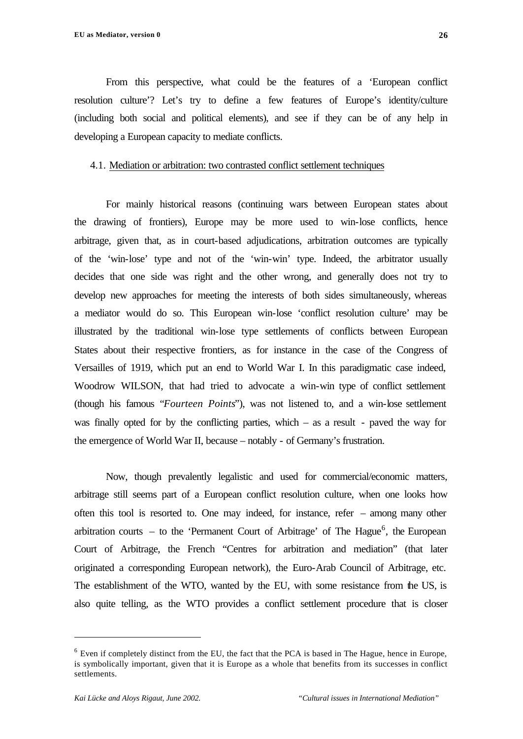From this perspective, what could be the features of a 'European conflict resolution culture'? Let's try to define a few features of Europe's identity/culture (including both social and political elements), and see if they can be of any help in developing a European capacity to mediate conflicts.

#### 4.1. Mediation or arbitration: two contrasted conflict settlement techniques

For mainly historical reasons (continuing wars between European states about the drawing of frontiers), Europe may be more used to win-lose conflicts, hence arbitrage, given that, as in court-based adjudications, arbitration outcomes are typically of the 'win-lose' type and not of the 'win-win' type. Indeed, the arbitrator usually decides that one side was right and the other wrong, and generally does not try to develop new approaches for meeting the interests of both sides simultaneously, whereas a mediator would do so. This European win-lose 'conflict resolution culture' may be illustrated by the traditional win-lose type settlements of conflicts between European States about their respective frontiers, as for instance in the case of the Congress of Versailles of 1919, which put an end to World War I. In this paradigmatic case indeed, Woodrow WILSON, that had tried to advocate a win-win type of conflict settlement (though his famous "*Fourteen Points*"), was not listened to, and a win-lose settlement was finally opted for by the conflicting parties, which  $-$  as a result - paved the way for the emergence of World War II, because – notably - of Germany's frustration.

Now, though prevalently legalistic and used for commercial/economic matters, arbitrage still seems part of a European conflict resolution culture, when one looks how often this tool is resorted to. One may indeed, for instance, refer – among many other arbitration courts  $-$  to the 'Permanent Court of Arbitrage' of The Hague<sup>6</sup>, the European Court of Arbitrage, the French "Centres for arbitration and mediation" (that later originated a corresponding European network), the Euro-Arab Council of Arbitrage, etc. The establishment of the WTO, wanted by the EU, with some resistance from the US, is also quite telling, as the WTO provides a conflict settlement procedure that is closer

 $6$  Even if completely distinct from the EU, the fact that the PCA is based in The Hague, hence in Europe, is symbolically important, given that it is Europe as a whole that benefits from its successes in conflict settlements.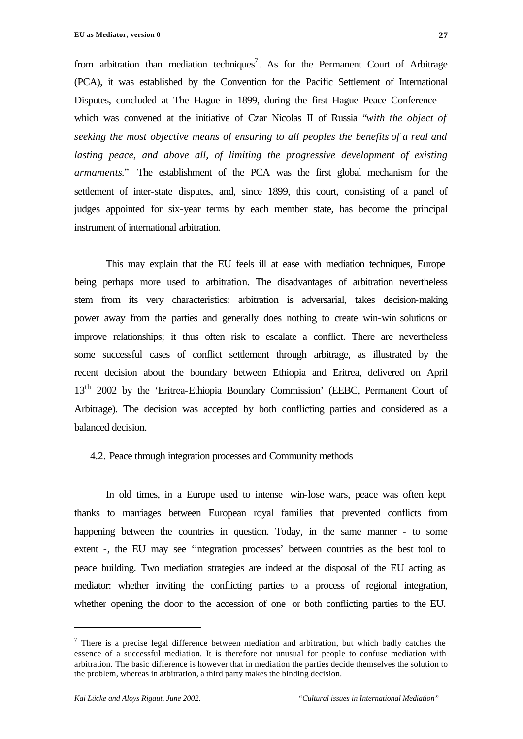**EU as Mediator, version 0**

from arbitration than mediation techniques<sup>7</sup>. As for the Permanent Court of Arbitrage (PCA), it was established by the Convention for the Pacific Settlement of International Disputes, concluded at The Hague in 1899, during the first Hague Peace Conference which was convened at the initiative of Czar Nicolas II of Russia "*with the object of seeking the most objective means of ensuring to all peoples the benefits of a real and lasting peace, and above all, of limiting the progressive development of existing armaments*." The establishment of the PCA was the first global mechanism for the settlement of inter-state disputes, and, since 1899, this court, consisting of a panel of judges appointed for six-year terms by each member state, has become the principal instrument of international arbitration.

This may explain that the EU feels ill at ease with mediation techniques, Europe being perhaps more used to arbitration. The disadvantages of arbitration nevertheless stem from its very characteristics: arbitration is adversarial, takes decision-making power away from the parties and generally does nothing to create win-win solutions or improve relationships; it thus often risk to escalate a conflict. There are nevertheless some successful cases of conflict settlement through arbitrage, as illustrated by the recent decision about the boundary between Ethiopia and Eritrea, delivered on April 13<sup>th</sup> 2002 by the 'Eritrea-Ethiopia Boundary Commission' (EEBC, Permanent Court of Arbitrage). The decision was accepted by both conflicting parties and considered as a balanced decision.

#### 4.2. Peace through integration processes and Community methods

In old times, in a Europe used to intense win-lose wars, peace was often kept thanks to marriages between European royal families that prevented conflicts from happening between the countries in question. Today, in the same manner - to some extent -, the EU may see 'integration processes' between countries as the best tool to peace building. Two mediation strategies are indeed at the disposal of the EU acting as mediator: whether inviting the conflicting parties to a process of regional integration, whether opening the door to the accession of one or both conflicting parties to the EU.

 $<sup>7</sup>$  There is a precise legal difference between mediation and arbitration, but which badly catches the</sup> essence of a successful mediation. It is therefore not unusual for people to confuse mediation with arbitration. The basic difference is however that in mediation the parties decide themselves the solution to the problem, whereas in arbitration, a third party makes the binding decision.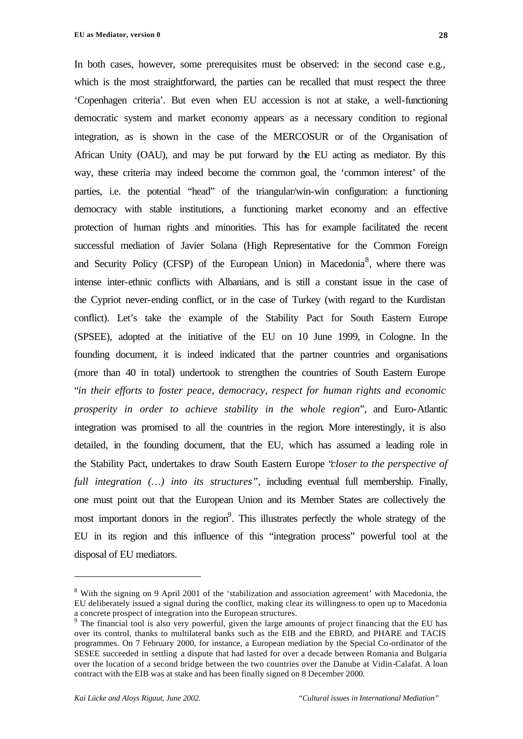**EU as Mediator, version 0**

In both cases, however, some prerequisites must be observed: in the second case e.g., which is the most straightforward, the parties can be recalled that must respect the three 'Copenhagen criteria'. But even when EU accession is not at stake, a well-functioning democratic system and market economy appears as a necessary condition to regional integration, as is shown in the case of the MERCOSUR or of the Organisation of African Unity (OAU), and may be put forward by the EU acting as mediator. By this way, these criteria may indeed become the common goal, the 'common interest' of the parties, i.e. the potential "head" of the triangular/win-win configuration: a functioning democracy with stable institutions, a functioning market economy and an effective protection of human rights and minorities. This has for example facilitated the recent successful mediation of Javier Solana (High Representative for the Common Foreign and Security Policy (CFSP) of the European Union) in Macedonia<sup>8</sup>, where there was intense inter-ethnic conflicts with Albanians, and is still a constant issue in the case of the Cypriot never-ending conflict, or in the case of Turkey (with regard to the Kurdistan conflict). Let's take the example of the Stability Pact for South Eastern Europe (SPSEE), adopted at the initiative of the EU on 10 June 1999, in Cologne. In the founding document, it is indeed indicated that the partner countries and organisations (more than 40 in total) undertook to strengthen the countries of South Eastern Europe "*in their efforts to foster peace, democracy, respect for human rights and economic prosperity in order to achieve stability in the whole region*", and Euro-Atlantic integration was promised to all the countries in the region. More interestingly, it is also detailed, in the founding document, that the EU, which has assumed a leading role in the Stability Pact, undertakes to draw South Eastern Europe "*closer to the perspective of full integration (…) into its structures"*, including eventual full membership. Finally, one must point out that the European Union and its Member States are collectively the most important donors in the region<sup>9</sup>. This illustrates perfectly the whole strategy of the EU in its region and this influence of this "integration process" powerful tool at the disposal of EU mediators.

<sup>&</sup>lt;sup>8</sup> With the signing on 9 April 2001 of the 'stabilization and association agreement' with Macedonia, the EU deliberately issued a signal during the conflict, making clear its willingness to open up to Macedonia a concrete prospect of integration into the European structures.

<sup>&</sup>lt;sup>9</sup> The financial tool is also very powerful, given the large amounts of project financing that the EU has over its control, thanks to multilateral banks such as the EIB and the EBRD, and PHARE and TACIS programmes. On 7 February 2000, for instance, a European mediation by the Special Co-ordinator of the SESEE succeeded in settling a dispute that had lasted for over a decade between Romania and Bulgaria over the location of a second bridge between the two countries over the Danube at Vidin-Calafat. A loan contract with the EIB was at stake and has been finally signed on 8 December 2000.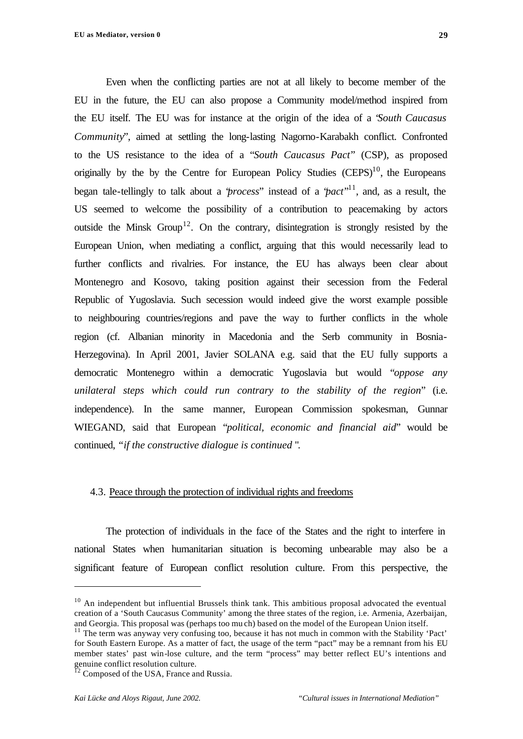Even when the conflicting parties are not at all likely to become member of the EU in the future, the EU can also propose a Community model/method inspired from the EU itself. The EU was for instance at the origin of the idea of a "*South Caucasus Community*", aimed at settling the long-lasting Nagorno-Karabakh conflict. Confronted to the US resistance to the idea of a "*South Caucasus Pact*" (CSP), as proposed originally by the by the Centre for European Policy Studies  $(CEPS)^{10}$ , the Europeans began tale-tellingly to talk about a "*process*" instead of a "*pact*" <sup>11</sup>, and, as a result, the US seemed to welcome the possibility of a contribution to peacemaking by actors outside the Minsk Group<sup>12</sup>. On the contrary, disintegration is strongly resisted by the European Union, when mediating a conflict, arguing that this would necessarily lead to further conflicts and rivalries. For instance, the EU has always been clear about Montenegro and Kosovo, taking position against their secession from the Federal Republic of Yugoslavia. Such secession would indeed give the worst example possible to neighbouring countries/regions and pave the way to further conflicts in the whole region (cf. Albanian minority in Macedonia and the Serb community in Bosnia-Herzegovina). In April 2001, Javier SOLANA e.g. said that the EU fully supports a democratic Montenegro within a democratic Yugoslavia but would "*oppose any unilateral steps which could run contrary to the stability of the region*" (i.e. independence). In the same manner, European Commission spokesman, Gunnar WIEGAND, said that European "*political, economic and financial aid*" would be continued, *"if the constructive dialogue is continued* ".

#### 4.3. Peace through the protection of individual rights and freedoms

The protection of individuals in the face of the States and the right to interfere in national States when humanitarian situation is becoming unbearable may also be a significant feature of European conflict resolution culture. From this perspective, the

 $10$  An independent but influential Brussels think tank. This ambitious proposal advocated the eventual creation of a 'South Caucasus Community' among the three states of the region, i.e. Armenia, Azerbaijan, and Georgia. This proposal was (perhaps too mu ch) based on the model of the European Union itself.

<sup>&</sup>lt;sup>11</sup> The term was anyway very confusing too, because it has not much in common with the Stability 'Pact' for South Eastern Europe. As a matter of fact, the usage of the term "pact" may be a remnant from his EU member states' past win-lose culture, and the term "process" may better reflect EU's intentions and genuine conflict resolution culture.

<sup>&</sup>lt;sup>12</sup> Composed of the USA, France and Russia.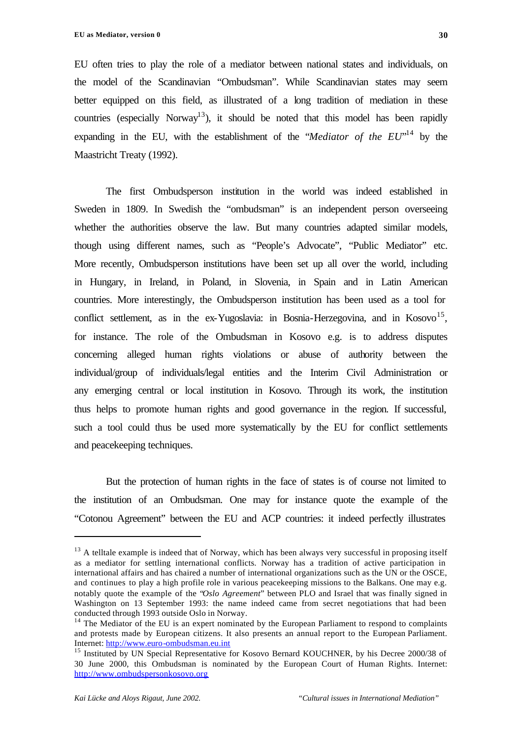**EU as Mediator, version 0**

EU often tries to play the role of a mediator between national states and individuals, on the model of the Scandinavian "Ombudsman". While Scandinavian states may seem better equipped on this field, as illustrated of a long tradition of mediation in these countries (especially Norway<sup>13</sup>), it should be noted that this model has been rapidly expanding in the EU, with the establishment of the "*Mediator of the EU*<sup>-14</sup> by the Maastricht Treaty (1992).

The first Ombudsperson institution in the world was indeed established in Sweden in 1809. In Swedish the "ombudsman" is an independent person overseeing whether the authorities observe the law. But many countries adapted similar models, though using different names, such as "People's Advocate", "Public Mediator" etc. More recently, Ombudsperson institutions have been set up all over the world, including in Hungary, in Ireland, in Poland, in Slovenia, in Spain and in Latin American countries. More interestingly, the Ombudsperson institution has been used as a tool for conflict settlement, as in the ex-Yugoslavia: in Bosnia-Herzegovina, and in Kosovo<sup>15</sup>, for instance. The role of the Ombudsman in Kosovo e.g. is to address disputes concerning alleged human rights violations or abuse of authority between the individual/group of individuals/legal entities and the Interim Civil Administration or any emerging central or local institution in Kosovo. Through its work, the institution thus helps to promote human rights and good governance in the region. If successful, such a tool could thus be used more systematically by the EU for conflict settlements and peacekeeping techniques.

But the protection of human rights in the face of states is of course not limited to the institution of an Ombudsman. One may for instance quote the example of the "Cotonou Agreement" between the EU and ACP countries: it indeed perfectly illustrates

 $13$  A telltale example is indeed that of Norway, which has been always very successful in proposing itself as a mediator for settling international conflicts. Norway has a tradition of active participation in international affairs and has chaired a number of international organizations such as the UN or the OSCE, and continues to play a high profile role in various peacekeeping missions to the Balkans. One may e.g. notably quote the example of the "*Oslo Agreement*" between PLO and Israel that was finally signed in Washington on 13 September 1993: the name indeed came from secret negotiations that had been conducted through 1993 outside Oslo in Norway.

<sup>&</sup>lt;sup>14</sup> The Mediator of the EU is an expert nominated by the European Parliament to respond to complaints and protests made by European citizens. It also presents an annual report to the European Parliament. Internet: http://www.euro-ombudsman.eu.int

<sup>&</sup>lt;sup>15</sup> Instituted by UN Special Representative for Kosovo Bernard KOUCHNER, by his Decree 2000/38 of 30 June 2000, this Ombudsman is nominated by the European Court of Human Rights. Internet: http://www.ombudspersonkosovo.org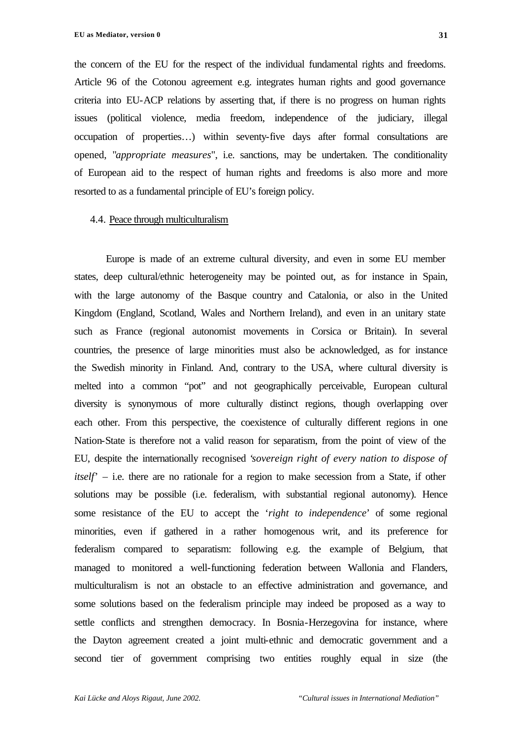the concern of the EU for the respect of the individual fundamental rights and freedoms. Article 96 of the Cotonou agreement e.g. integrates human rights and good governance criteria into EU-ACP relations by asserting that, if there is no progress on human rights issues (political violence, media freedom, independence of the judiciary, illegal

occupation of properties…) within seventy-five days after formal consultations are opened, "*appropriate measures*", i.e. sanctions, may be undertaken. The conditionality of European aid to the respect of human rights and freedoms is also more and more resorted to as a fundamental principle of EU's foreign policy.

#### 4.4. Peace through multiculturalism

Europe is made of an extreme cultural diversity, and even in some EU member states, deep cultural/ethnic heterogeneity may be pointed out, as for instance in Spain, with the large autonomy of the Basque country and Catalonia, or also in the United Kingdom (England, Scotland, Wales and Northern Ireland), and even in an unitary state such as France (regional autonomist movements in Corsica or Britain). In several countries, the presence of large minorities must also be acknowledged, as for instance the Swedish minority in Finland. And, contrary to the USA, where cultural diversity is melted into a common "pot" and not geographically perceivable, European cultural diversity is synonymous of more culturally distinct regions, though overlapping over each other. From this perspective, the coexistence of culturally different regions in one Nation-State is therefore not a valid reason for separatism, from the point of view of the EU, despite the internationally recognised '*sovereign right of every nation to dispose of itself*' – i.e. there are no rationale for a region to make secession from a State, if other solutions may be possible (i.e. federalism, with substantial regional autonomy). Hence some resistance of the EU to accept the '*right to independence*' of some regional minorities, even if gathered in a rather homogenous writ, and its preference for federalism compared to separatism: following e.g. the example of Belgium, that managed to monitored a well-functioning federation between Wallonia and Flanders, multiculturalism is not an obstacle to an effective administration and governance, and some solutions based on the federalism principle may indeed be proposed as a way to settle conflicts and strengthen democracy. In Bosnia-Herzegovina for instance, where the Dayton agreement created a joint multi-ethnic and democratic government and a second tier of government comprising two entities roughly equal in size (the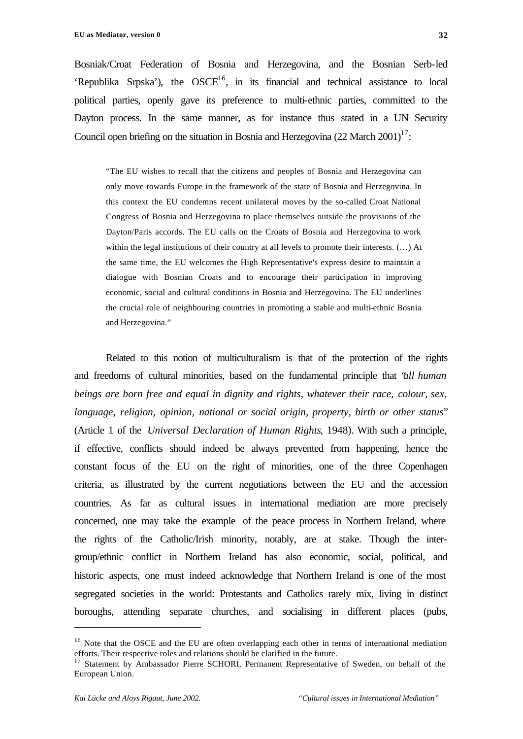Bosniak/Croat Federation of Bosnia and Herzegovina, and the Bosnian Serb-led 'Republika Srpska'), the  $OSCE^{16}$ , in its financial and technical assistance to local political parties, openly gave its preference to multi-ethnic parties, committed to the Dayton process. In the same manner, as for instance thus stated in a UN Security Council open briefing on the situation in Bosnia and Herzegovina  $(22 \text{ March } 2001)^{17}$ :

"The EU wishes to recall that the citizens and peoples of Bosnia and Herzegovina can only move towards Europe in the framework of the state of Bosnia and Herzegovina. In this context the EU condemns recent unilateral moves by the so-called Croat National Congress of Bosnia and Herzegovina to place themselves outside the provisions of the Dayton/Paris accords. The EU calls on the Croats of Bosnia and Herzegovina to work within the legal institutions of their country at all levels to promote their interests. (…) At the same time, the EU welcomes the High Representative's express desire to maintain a dialogue with Bosnian Croats and to encourage their participation in improving economic, social and cultural conditions in Bosnia and Herzegovina. The EU underlines the crucial role of neighbouring countries in promoting a stable and multi-ethnic Bosnia and Herzegovina."

Related to this notion of multiculturalism is that of the protection of the rights and freedoms of cultural minorities, based on the fundamental principle that "*all human beings are born free and equal in dignity and rights, whatever their race, colour, sex, language, religion, opinion, national or social origin, property, birth or other status*" (Article 1 of the *Universal Declaration of Human Rights*, 1948). With such a principle, if effective, conflicts should indeed be always prevented from happening, hence the constant focus of the EU on the right of minorities, one of the three Copenhagen criteria, as illustrated by the current negotiations between the EU and the accession countries. As far as cultural issues in international mediation are more precisely concerned, one may take the example of the peace process in Northern Ireland, where the rights of the Catholic/Irish minority, notably, are at stake. Though the intergroup/ethnic conflict in Northern Ireland has also economic, social, political, and historic aspects, one must indeed acknowledge that Northern Ireland is one of the most segregated societies in the world: Protestants and Catholics rarely mix, living in distinct boroughs, attending separate churches, and socialising in different places (pubs,

<sup>&</sup>lt;sup>16</sup> Note that the OSCE and the EU are often overlapping each other in terms of international mediation efforts. Their respective roles and relations should be clarified in the future.

<sup>&</sup>lt;sup>17</sup> Statement by Ambassador Pierre SCHORI, Permanent Representative of Sweden, on behalf of the European Union.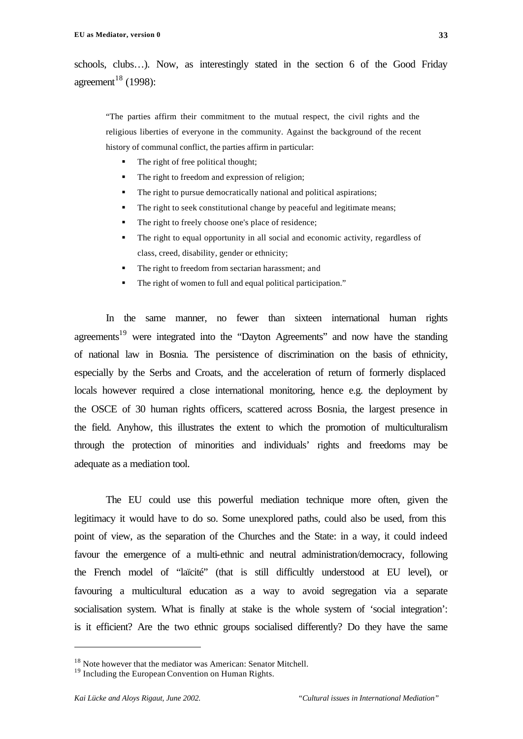schools, clubs…). Now, as interestingly stated in the section 6 of the Good Friday agreement<sup>18</sup> (1998):

"The parties affirm their commitment to the mutual respect, the civil rights and the religious liberties of everyone in the community. Against the background of the recent history of communal conflict, the parties affirm in particular:

- $\blacksquare$  The right of free political thought;
- The right to freedom and expression of religion;
- The right to pursue democratically national and political aspirations;
- The right to seek constitutional change by peaceful and legitimate means;
- The right to freely choose one's place of residence;
- The right to equal opportunity in all social and economic activity, regardless of class, creed, disability, gender or ethnicity;
- The right to freedom from sectarian harassment; and
- The right of women to full and equal political participation."

In the same manner, no fewer than sixteen international human rights agreements<sup>19</sup> were integrated into the "Dayton Agreements" and now have the standing of national law in Bosnia. The persistence of discrimination on the basis of ethnicity, especially by the Serbs and Croats, and the acceleration of return of formerly displaced locals however required a close international monitoring, hence e.g. the deployment by the OSCE of 30 human rights officers, scattered across Bosnia, the largest presence in the field. Anyhow, this illustrates the extent to which the promotion of multiculturalism through the protection of minorities and individuals' rights and freedoms may be adequate as a mediation tool.

The EU could use this powerful mediation technique more often, given the legitimacy it would have to do so. Some unexplored paths, could also be used, from this point of view, as the separation of the Churches and the State: in a way, it could indeed favour the emergence of a multi-ethnic and neutral administration/democracy, following the French model of "laïcité" (that is still difficultly understood at EU level), or favouring a multicultural education as a way to avoid segregation via a separate socialisation system. What is finally at stake is the whole system of 'social integration': is it efficient? Are the two ethnic groups socialised differently? Do they have the same

<sup>&</sup>lt;sup>18</sup> Note however that the mediator was American: Senator Mitchell.

<sup>&</sup>lt;sup>19</sup> Including the European Convention on Human Rights.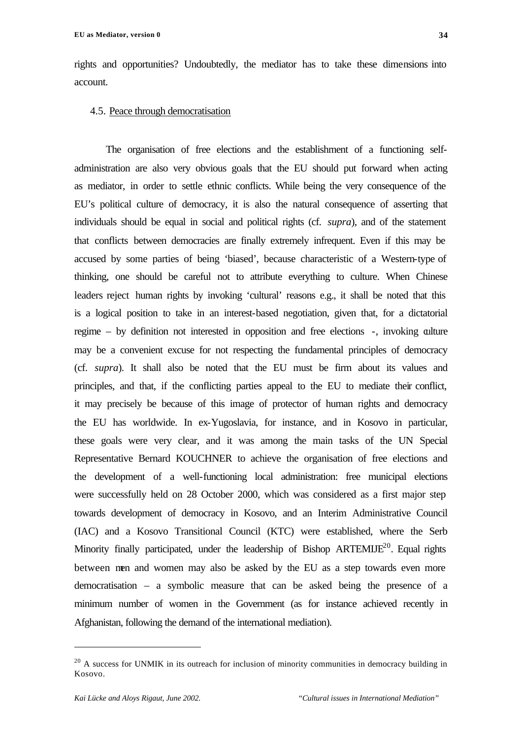rights and opportunities? Undoubtedly, the mediator has to take these dimensions into account.

#### 4.5. Peace through democratisation

The organisation of free elections and the establishment of a functioning selfadministration are also very obvious goals that the EU should put forward when acting as mediator, in order to settle ethnic conflicts. While being the very consequence of the EU's political culture of democracy, it is also the natural consequence of asserting that individuals should be equal in social and political rights (cf. *supra*), and of the statement that conflicts between democracies are finally extremely infrequent. Even if this may be accused by some parties of being 'biased', because characteristic of a Western-type of thinking, one should be careful not to attribute everything to culture. When Chinese leaders reject human rights by invoking 'cultural' reasons e.g., it shall be noted that this is a logical position to take in an interest-based negotiation, given that, for a dictatorial regime – by definition not interested in opposition and free elections -, invoking culture may be a convenient excuse for not respecting the fundamental principles of democracy (cf. *supra*). It shall also be noted that the EU must be firm about its values and principles, and that, if the conflicting parties appeal to the EU to mediate their conflict, it may precisely be because of this image of protector of human rights and democracy the EU has worldwide. In ex-Yugoslavia, for instance, and in Kosovo in particular, these goals were very clear, and it was among the main tasks of the UN Special Representative Bernard KOUCHNER to achieve the organisation of free elections and the development of a well-functioning local administration: free municipal elections were successfully held on 28 October 2000, which was considered as a first major step towards development of democracy in Kosovo, and an Interim Administrative Council (IAC) and a Kosovo Transitional Council (KTC) were established, where the Serb Minority finally participated, under the leadership of Bishop  $ARTEMJJE<sup>20</sup>$ . Equal rights between men and women may also be asked by the EU as a step towards even more democratisation – a symbolic measure that can be asked being the presence of a minimum number of women in the Government (as for instance achieved recently in Afghanistan, following the demand of the international mediation).

 $20$  A success for UNMIK in its outreach for inclusion of minority communities in democracy building in Kosovo.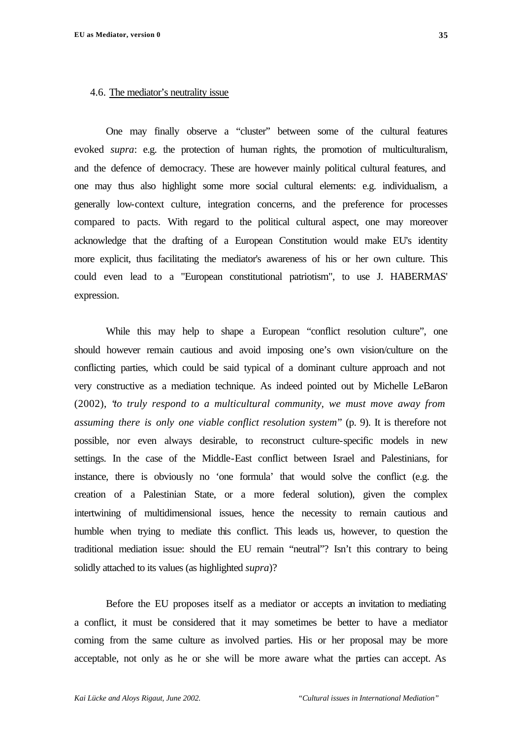#### 4.6. The mediator's neutrality issue

One may finally observe a "cluster" between some of the cultural features evoked *supra*: e.g. the protection of human rights, the promotion of multiculturalism, and the defence of democracy. These are however mainly political cultural features, and one may thus also highlight some more social cultural elements: e.g. individualism, a generally low-context culture, integration concerns, and the preference for processes compared to pacts. With regard to the political cultural aspect, one may moreover acknowledge that the drafting of a European Constitution would make EU's identity more explicit, thus facilitating the mediator's awareness of his or her own culture. This could even lead to a "European constitutional patriotism", to use J. HABERMAS' expression.

While this may help to shape a European "conflict resolution culture", one should however remain cautious and avoid imposing one's own vision/culture on the conflicting parties, which could be said typical of a dominant culture approach and not very constructive as a mediation technique. As indeed pointed out by Michelle LeBaron (2002), "*to truly respond to a multicultural community, we must move away from assuming there is only one viable conflict resolution system*" (p. 9). It is therefore not possible, nor even always desirable, to reconstruct culture-specific models in new settings. In the case of the Middle-East conflict between Israel and Palestinians, for instance, there is obviously no 'one formula' that would solve the conflict (e.g. the creation of a Palestinian State, or a more federal solution), given the complex intertwining of multidimensional issues, hence the necessity to remain cautious and humble when trying to mediate this conflict. This leads us, however, to question the traditional mediation issue: should the EU remain "neutral"? Isn't this contrary to being solidly attached to its values (as highlighted *supra*)?

Before the EU proposes itself as a mediator or accepts an invitation to mediating a conflict, it must be considered that it may sometimes be better to have a mediator coming from the same culture as involved parties. His or her proposal may be more acceptable, not only as he or she will be more aware what the parties can accept. As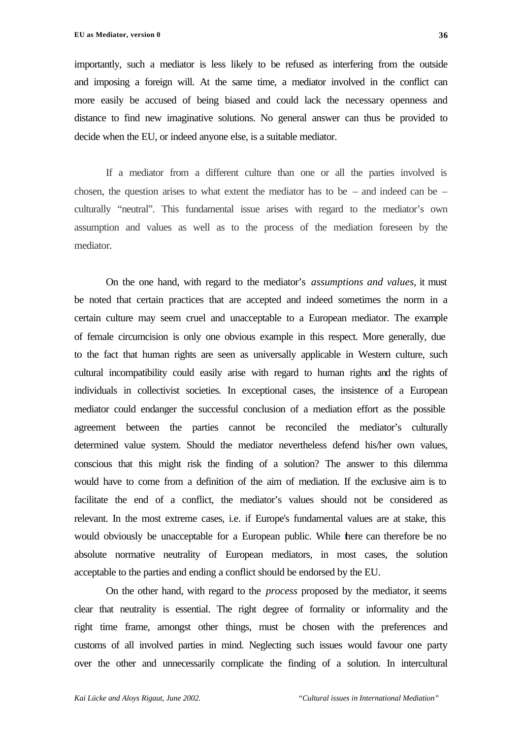importantly, such a mediator is less likely to be refused as interfering from the outside and imposing a foreign will. At the same time, a mediator involved in the conflict can more easily be accused of being biased and could lack the necessary openness and distance to find new imaginative solutions. No general answer can thus be provided to decide when the EU, or indeed anyone else, is a suitable mediator.

If a mediator from a different culture than one or all the parties involved is chosen, the question arises to what extent the mediator has to be  $-$  and indeed can be  $$ culturally "neutral". This fundamental issue arises with regard to the mediator's own assumption and values as well as to the process of the mediation foreseen by the mediator.

On the one hand, with regard to the mediator's *assumptions and values*, it must be noted that certain practices that are accepted and indeed sometimes the norm in a certain culture may seem cruel and unacceptable to a European mediator. The example of female circumcision is only one obvious example in this respect. More generally, due to the fact that human rights are seen as universally applicable in Western culture, such cultural incompatibility could easily arise with regard to human rights and the rights of individuals in collectivist societies. In exceptional cases, the insistence of a European mediator could endanger the successful conclusion of a mediation effort as the possible agreement between the parties cannot be reconciled the mediator's culturally determined value system. Should the mediator nevertheless defend his/her own values, conscious that this might risk the finding of a solution? The answer to this dilemma would have to come from a definition of the aim of mediation. If the exclusive aim is to facilitate the end of a conflict, the mediator's values should not be considered as relevant. In the most extreme cases, i.e. if Europe's fundamental values are at stake, this would obviously be unacceptable for a European public. While there can therefore be no absolute normative neutrality of European mediators, in most cases, the solution acceptable to the parties and ending a conflict should be endorsed by the EU.

On the other hand, with regard to the *process* proposed by the mediator, it seems clear that neutrality is essential. The right degree of formality or informality and the right time frame, amongst other things, must be chosen with the preferences and customs of all involved parties in mind. Neglecting such issues would favour one party over the other and unnecessarily complicate the finding of a solution. In intercultural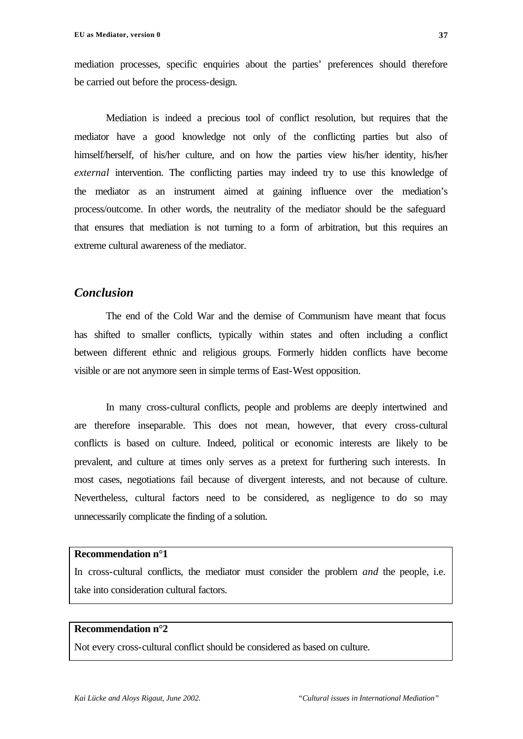mediation processes, specific enquiries about the parties' preferences should therefore be carried out before the process-design.

Mediation is indeed a precious tool of conflict resolution, but requires that the mediator have a good knowledge not only of the conflicting parties but also of himself/herself, of his/her culture, and on how the parties view his/her identity, his/her *external* intervention. The conflicting parties may indeed try to use this knowledge of the mediator as an instrument aimed at gaining influence over the mediation's process/outcome. In other words, the neutrality of the mediator should be the safeguard that ensures that mediation is not turning to a form of arbitration, but this requires an extreme cultural awareness of the mediator.

## *Conclusion*

The end of the Cold War and the demise of Communism have meant that focus has shifted to smaller conflicts, typically within states and often including a conflict between different ethnic and religious groups. Formerly hidden conflicts have become visible or are not anymore seen in simple terms of East-West opposition.

In many cross-cultural conflicts, people and problems are deeply intertwined and are therefore inseparable. This does not mean, however, that every cross-cultural conflicts is based on culture. Indeed, political or economic interests are likely to be prevalent, and culture at times only serves as a pretext for furthering such interests. In most cases, negotiations fail because of divergent interests, and not because of culture. Nevertheless, cultural factors need to be considered, as negligence to do so may unnecessarily complicate the finding of a solution.

#### **Recommendation n°1**

In cross-cultural conflicts, the mediator must consider the problem *and* the people, i.e. take into consideration cultural factors.

#### **Recommendation n°2**

Not every cross-cultural conflict should be considered as based on culture.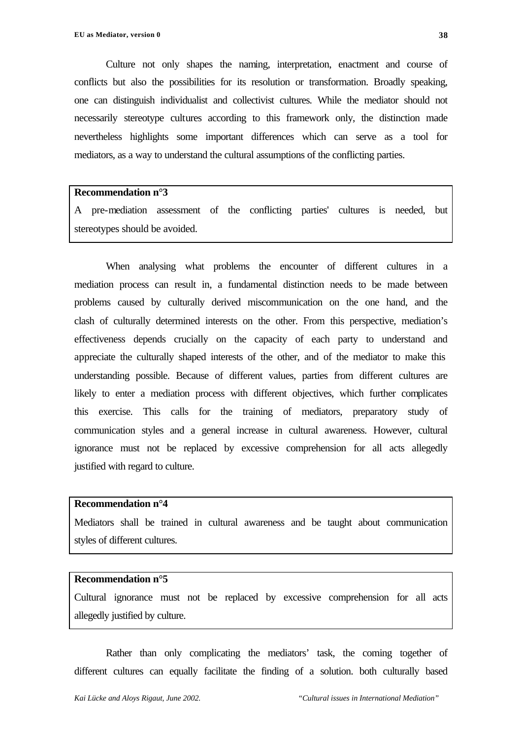Culture not only shapes the naming, interpretation, enactment and course of conflicts but also the possibilities for its resolution or transformation. Broadly speaking, one can distinguish individualist and collectivist cultures. While the mediator should not necessarily stereotype cultures according to this framework only, the distinction made nevertheless highlights some important differences which can serve as a tool for mediators, as a way to understand the cultural assumptions of the conflicting parties.

#### **Recommendation n°3**

A pre-mediation assessment of the conflicting parties' cultures is needed, but stereotypes should be avoided.

When analysing what problems the encounter of different cultures in a mediation process can result in, a fundamental distinction needs to be made between problems caused by culturally derived miscommunication on the one hand, and the clash of culturally determined interests on the other. From this perspective, mediation's effectiveness depends crucially on the capacity of each party to understand and appreciate the culturally shaped interests of the other, and of the mediator to make this understanding possible. Because of different values, parties from different cultures are likely to enter a mediation process with different objectives, which further complicates this exercise. This calls for the training of mediators, preparatory study of communication styles and a general increase in cultural awareness. However, cultural ignorance must not be replaced by excessive comprehension for all acts allegedly justified with regard to culture.

#### **Recommendation n°4**

Mediators shall be trained in cultural awareness and be taught about communication styles of different cultures.

#### **Recommendation n°5**

Cultural ignorance must not be replaced by excessive comprehension for all acts allegedly justified by culture.

Rather than only complicating the mediators' task, the coming together of different cultures can equally facilitate the finding of a solution. both culturally based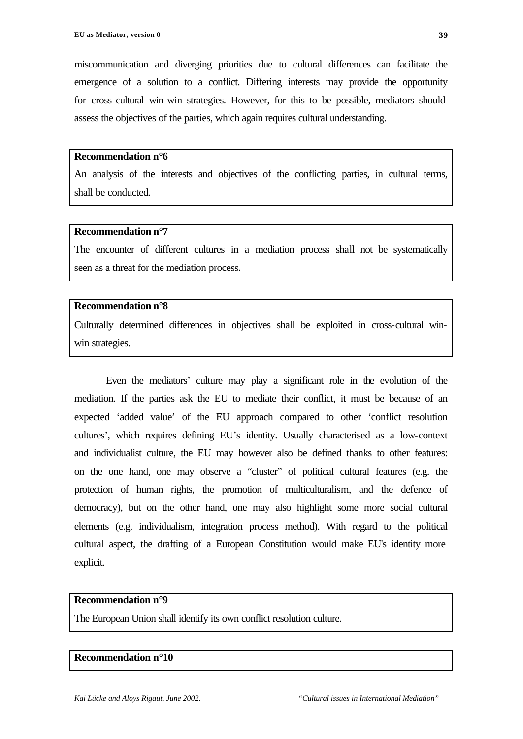miscommunication and diverging priorities due to cultural differences can facilitate the emergence of a solution to a conflict. Differing interests may provide the opportunity for cross-cultural win-win strategies. However, for this to be possible, mediators should assess the objectives of the parties, which again requires cultural understanding.

#### **Recommendation n°6**

An analysis of the interests and objectives of the conflicting parties, in cultural terms, shall be conducted.

#### **Recommendation n°7**

The encounter of different cultures in a mediation process shall not be systematically seen as a threat for the mediation process.

#### **Recommendation n°8**

Culturally determined differences in objectives shall be exploited in cross-cultural winwin strategies.

Even the mediators' culture may play a significant role in the evolution of the mediation. If the parties ask the EU to mediate their conflict, it must be because of an expected 'added value' of the EU approach compared to other 'conflict resolution cultures', which requires defining EU's identity. Usually characterised as a low-context and individualist culture, the EU may however also be defined thanks to other features: on the one hand, one may observe a "cluster" of political cultural features (e.g. the protection of human rights, the promotion of multiculturalism, and the defence of democracy), but on the other hand, one may also highlight some more social cultural elements (e.g. individualism, integration process method). With regard to the political cultural aspect, the drafting of a European Constitution would make EU's identity more explicit.

#### **Recommendation n°9**

The European Union shall identify its own conflict resolution culture.

#### **Recommendation n°10**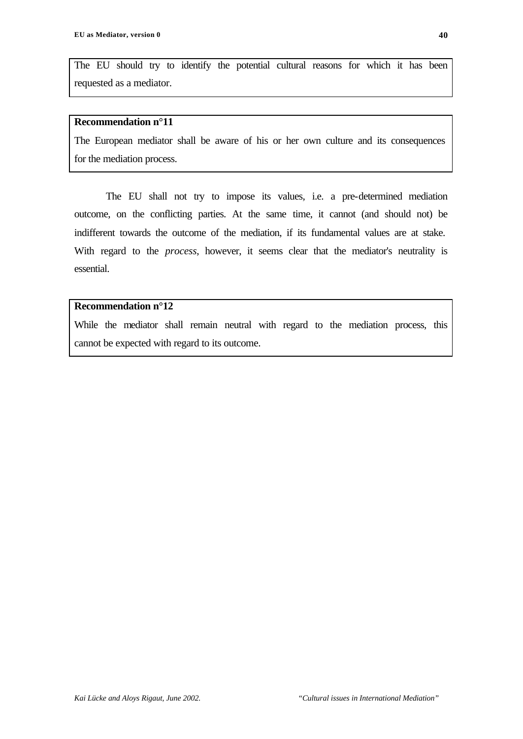The EU should try to identify the potential cultural reasons for which it has been requested as a mediator.

#### **Recommendation n°11**

The European mediator shall be aware of his or her own culture and its consequences for the mediation process.

The EU shall not try to impose its values, i.e. a pre-determined mediation outcome, on the conflicting parties. At the same time, it cannot (and should not) be indifferent towards the outcome of the mediation, if its fundamental values are at stake. With regard to the *process*, however, it seems clear that the mediator's neutrality is essential.

#### **Recommendation n°12**

While the mediator shall remain neutral with regard to the mediation process, this cannot be expected with regard to its outcome.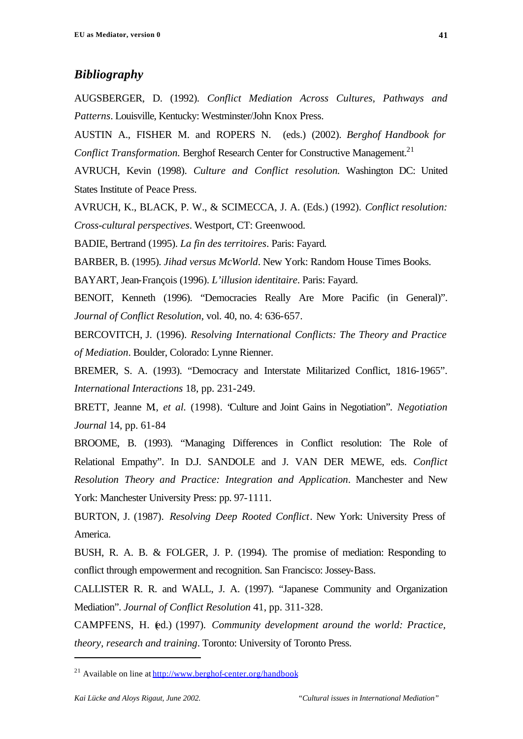## *Bibliography*

AUGSBERGER, D. (1992). *Conflict Mediation Across Cultures, Pathways and Patterns*. Louisville, Kentucky: Westminster/John Knox Press.

AUSTIN A., FISHER M. and ROPERS N. (eds.) (2002). *Berghof Handbook for Conflict Transformation.* Berghof Research Center for Constructive Management.<sup>21</sup>

AVRUCH, Kevin (1998). *Culture and Conflict resolution.* Washington DC: United States Institute of Peace Press.

AVRUCH, K., BLACK, P. W., & SCIMECCA, J. A. (Eds.) (1992). *Conflict resolution: Cross-cultural perspectives*. Westport, CT: Greenwood.

BADIE, Bertrand (1995). *La fin des territoires*. Paris: Fayard*.*

BARBER, B. (1995). *Jihad versus McWorld*. New York: Random House Times Books.

BAYART, Jean-François (1996). *L'illusion identitaire*. Paris: Fayard.

BENOIT, Kenneth (1996). "Democracies Really Are More Pacific (in General)". *Journal of Conflict Resolution*, vol. 40, no. 4: 636-657.

BERCOVITCH, J. (1996). *Resolving International Conflicts: The Theory and Practice of Mediation*. Boulder, Colorado: Lynne Rienner.

BREMER, S. A. (1993). "Democracy and Interstate Militarized Conflict, 1816-1965". *International Interactions* 18, pp. 231-249.

BRETT, Jeanne M., *et al.* (1998). "Culture and Joint Gains in Negotiation". *Negotiation Journal* 14, pp. 61-84

BROOME, B. (1993). "Managing Differences in Conflict resolution: The Role of Relational Empathy". In D.J. SANDOLE and J. VAN DER MEWE, eds. *Conflict Resolution Theory and Practice: Integration and Application*. Manchester and New York: Manchester University Press: pp. 97-1111.

BURTON, J. (1987). *Resolving Deep Rooted Conflict*. New York: University Press of America.

BUSH, R. A. B. & FOLGER, J. P. (1994). The promise of mediation: Responding to conflict through empowerment and recognition. San Francisco: Jossey-Bass.

CALLISTER R. R. and WALL, J. A. (1997). "Japanese Community and Organization Mediation". *Journal of Conflict Resolution* 41, pp. 311-328.

CAMPFENS, H. (ed.) (1997). *Community development around the world: Practice, theory, research and training*. Toronto: University of Toronto Press.

<sup>&</sup>lt;sup>21</sup> Available on line at http://www.berghof-center.org/handbook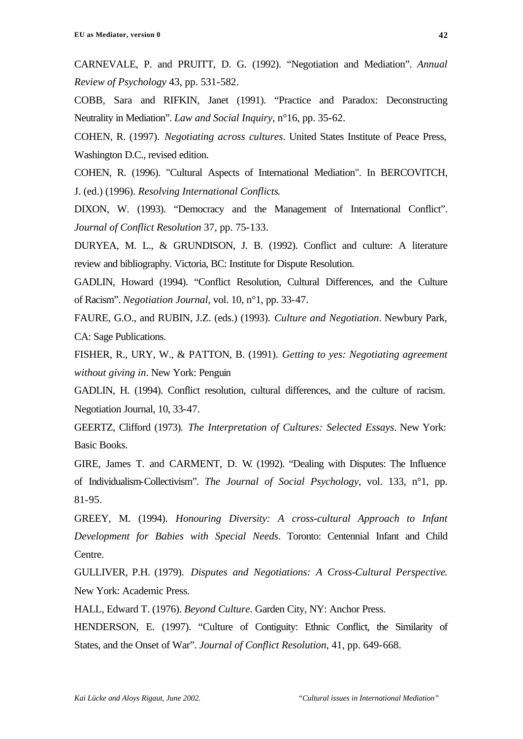CARNEVALE, P. and PRUITT, D. G. (1992). "Negotiation and Mediation". *Annual Review of Psychology* 43, pp. 531-582.

COBB, Sara and RIFKIN, Janet (1991). "Practice and Paradox: Deconstructing Neutrality in Mediation". *Law and Social Inquiry,* n°16, pp. 35-62.

COHEN, R. (1997). *Negotiating across cultures*. United States Institute of Peace Press, Washington D.C., revised edition.

COHEN, R. (1996). "Cultural Aspects of International Mediation". In BERCOVITCH, J. (ed.) (1996). *Resolving International Conflicts*.

DIXON, W. (1993). "Democracy and the Management of International Conflict". *Journal of Conflict Resolution* 37, pp. 75-133.

DURYEA, M. L., & GRUNDISON, J. B. (1992). Conflict and culture: A literature review and bibliography. Victoria, BC: Institute for Dispute Resolution.

GADLIN, Howard (1994). "Conflict Resolution, Cultural Differences, and the Culture of Racism". *Negotiation Journal,* vol. 10, n°1, pp. 33-47.

FAURE, G.O., and RUBIN, J.Z. (eds.) (1993). *Culture and Negotiation*. Newbury Park, CA: Sage Publications.

FISHER, R., URY, W., & PATTON, B. (1991). *Getting to yes: Negotiating agreement without giving in*. New York: Penguin

GADLIN, H. (1994). Conflict resolution, cultural differences, and the culture of racism. Negotiation Journal, 10, 33-47.

GEERTZ, Clifford (1973). *The Interpretation of Cultures: Selected Essays*. New York: Basic Books.

GIRE, James T. and CARMENT, D. W. (1992). "Dealing with Disputes: The Influence of Individualism-Collectivism". *The Journal of Social Psychology*, vol. 133, n°1, pp. 81-95.

GREEY, M. (1994). *Honouring Diversity: A cross-cultural Approach to Infant Development for Babies with Special Needs*. Toronto: Centennial Infant and Child Centre.

GULLIVER, P.H. (1979). *Disputes and Negotiations: A Cross-Cultural Perspective*. New York: Academic Press.

HALL, Edward T. (1976). *Beyond Culture*. Garden City, NY: Anchor Press.

HENDERSON, E. (1997). "Culture of Contiguity: Ethnic Conflict, the Similarity of States, and the Onset of War". *Journal of Conflict Resolution*, 41, pp. 649-668.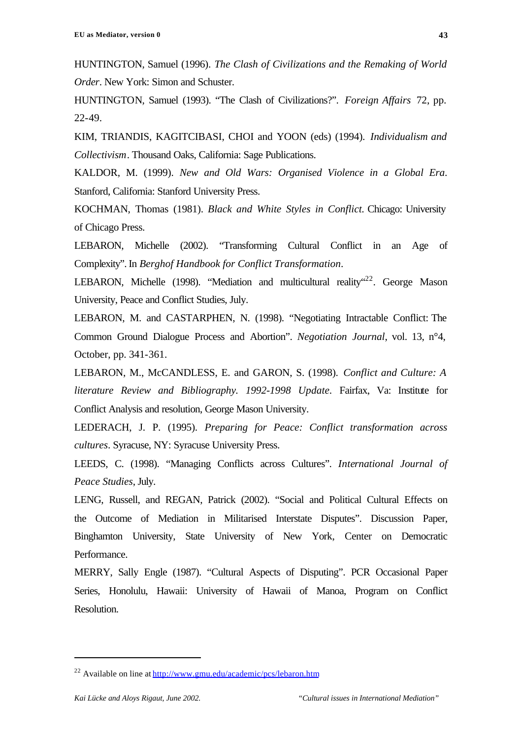HUNTINGTON, Samuel (1996). *The Clash of Civilizations and the Remaking of World Order*. New York: Simon and Schuster.

HUNTINGTON, Samuel (1993). "The Clash of Civilizations?". *Foreign Affairs* 72, pp. 22-49.

KIM, TRIANDIS, KAGITCIBASI, CHOI and YOON (eds) (1994). *Individualism and Collectivism*. Thousand Oaks, California: Sage Publications.

KALDOR, M. (1999). *New and Old Wars: Organised Violence in a Global Era*. Stanford, California: Stanford University Press.

KOCHMAN, Thomas (1981). *Black and White Styles in Conflict.* Chicago: University of Chicago Press.

LEBARON, Michelle (2002). "Transforming Cultural Conflict in an Age of Complexity". In *Berghof Handbook for Conflict Transformation*.

LEBARON, Michelle (1998). "Mediation and multicultural reality"<sup>22</sup>. George Mason University, Peace and Conflict Studies, July.

LEBARON, M. and CASTARPHEN, N. (1998). "Negotiating Intractable Conflict: The Common Ground Dialogue Process and Abortion". *Negotiation Journal*, vol. 13, n°4, October, pp. 341-361.

LEBARON, M., McCANDLESS, E. and GARON, S. (1998). *Conflict and Culture: A literature Review and Bibliography. 1992-1998 Update.* Fairfax, Va: Institute for Conflict Analysis and resolution, George Mason University.

LEDERACH, J. P. (1995). *Preparing for Peace: Conflict transformation across cultures*. Syracuse, NY: Syracuse University Press.

LEEDS, C. (1998). "Managing Conflicts across Cultures". *International Journal of Peace Studies*, July.

LENG, Russell, and REGAN, Patrick (2002). "Social and Political Cultural Effects on the Outcome of Mediation in Militarised Interstate Disputes". Discussion Paper, Binghamton University, State University of New York, Center on Democratic Performance.

MERRY, Sally Engle (1987). "Cultural Aspects of Disputing". PCR Occasional Paper Series, Honolulu, Hawaii: University of Hawaii of Manoa, Program on Conflict Resolution.

 $^{22}$  Available on line at http://www.gmu.edu/academic/pcs/lebaron.htm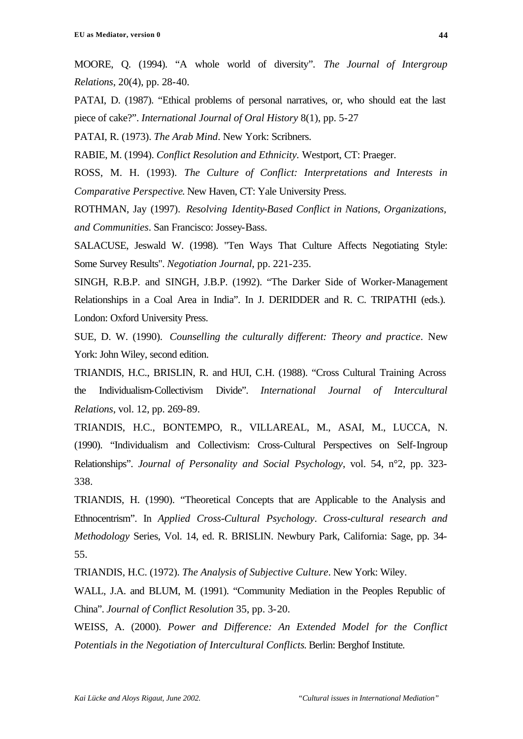MOORE, Q. (1994). "A whole world of diversity". *The Journal of Intergroup Relations*, 20(4), pp. 28-40.

PATAI, D. (1987). "Ethical problems of personal narratives, or, who should eat the last piece of cake?". *International Journal of Oral History* 8(1), pp. 5-27

PATAI, R. (1973). *The Arab Mind*. New York: Scribners.

RABIE, M. (1994). *Conflict Resolution and Ethnicity.* Westport, CT: Praeger.

ROSS, M. H. (1993). *The Culture of Conflict: Interpretations and Interests in Comparative Perspective*. New Haven, CT: Yale University Press.

ROTHMAN, Jay (1997). *Resolving Identity-Based Conflict in Nations, Organizations, and Communities*. San Francisco: Jossey-Bass.

SALACUSE, Jeswald W. (1998). "Ten Ways That Culture Affects Negotiating Style: Some Survey Results". *Negotiation Journal*, pp. 221-235.

SINGH, R.B.P. and SINGH, J.B.P. (1992). "The Darker Side of Worker-Management Relationships in a Coal Area in India". In J. DERIDDER and R. C. TRIPATHI (eds.). London: Oxford University Press.

SUE, D. W. (1990). *Counselling the culturally different: Theory and practice*. New York: John Wiley, second edition.

TRIANDIS, H.C., BRISLIN, R. and HUI, C.H. (1988). "Cross Cultural Training Across the Individualism-Collectivism Divide". *International Journal of Intercultural Relations*, vol. 12, pp. 269-89.

TRIANDIS, H.C., BONTEMPO, R., VILLAREAL, M., ASAI, M., LUCCA, N. (1990). "Individualism and Collectivism: Cross-Cultural Perspectives on Self-Ingroup Relationships". *Journal of Personality and Social Psychology*, vol. 54, n°2, pp. 323- 338.

TRIANDIS, H. (1990). "Theoretical Concepts that are Applicable to the Analysis and Ethnocentrism". In *Applied Cross-Cultural Psychology*. *Cross-cultural research and Methodology* Series, Vol. 14, ed. R. BRISLIN. Newbury Park, California: Sage, pp. 34- 55.

TRIANDIS, H.C. (1972). *The Analysis of Subjective Culture*. New York: Wiley.

WALL, J.A. and BLUM, M. (1991). "Community Mediation in the Peoples Republic of China". *Journal of Conflict Resolution* 35, pp. 3-20.

WEISS, A. (2000). *Power and Difference: An Extended Model for the Conflict Potentials in the Negotiation of Intercultural Conflicts*. Berlin: Berghof Institute.